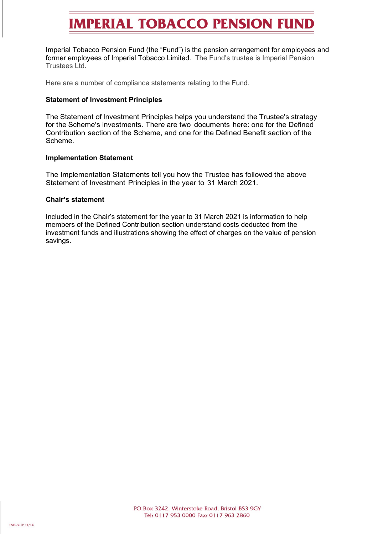## **IMPERIAL TOBACCO PENSION FUND**

Imperial Tobacco Pension Fund (the "Fund") is the pension arrangement for employees and former employees of Imperial Tobacco Limited. The Fund's trustee is Imperial Pension Trustees Ltd.

Here are a number of compliance statements relating to the Fund.

#### **Statement of Investment Principles**

The Statement of Investment Principles helps you understand the Trustee's strategy for the Scheme's investments. There are two documents here: one for the Defined Contribution section of the Scheme, and one for the Defined Benefit section of the Scheme.

### **Implementation Statement**

The Implementation Statements tell you how the Trustee has followed the above Statement of Investment Principles in the year to 31 March 2021.

#### **Chair's statement**

Included in the Chair's statement for the year to 31 March 2021 is information to help members of the Defined Contribution section understand costs deducted from the investment funds and illustrations showing the effect of charges on the value of pension savings.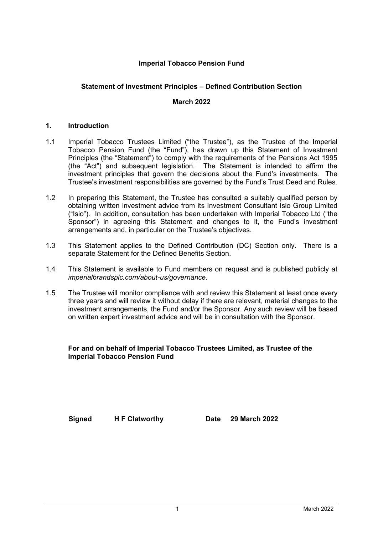## **Imperial Tobacco Pension Fund**

## **Statement of Investment Principles – Defined Contribution Section**

## **March 2022**

## **1. Introduction**

- 1.1 Imperial Tobacco Trustees Limited ("the Trustee"), as the Trustee of the Imperial Tobacco Pension Fund (the "Fund"), has drawn up this Statement of Investment Principles (the "Statement") to comply with the requirements of the Pensions Act 1995 (the "Act") and subsequent legislation. The Statement is intended to affirm the investment principles that govern the decisions about the Fund's investments. The Trustee's investment responsibilities are governed by the Fund's Trust Deed and Rules.
- 1.2 In preparing this Statement, the Trustee has consulted a suitably qualified person by obtaining written investment advice from its Investment Consultant Isio Group Limited ("Isio"). In addition, consultation has been undertaken with Imperial Tobacco Ltd ("the Sponsor") in agreeing this Statement and changes to it, the Fund's investment arrangements and, in particular on the Trustee's objectives.
- 1.3 This Statement applies to the Defined Contribution (DC) Section only. There is a separate Statement for the Defined Benefits Section.
- 1.4 This Statement is available to Fund members on request and is published publicly at *[imperialbrandsplc.com/about-us/governance.](https://www.imperialbrandsplc.com/about-us/governance.html)*
- 1.5 The Trustee will monitor compliance with and review this Statement at least once every three years and will review it without delay if there are relevant, material changes to the investment arrangements, the Fund and/or the Sponsor. Any such review will be based on written expert investment advice and will be in consultation with the Sponsor.

### **For and on behalf of Imperial Tobacco Trustees Limited, as Trustee of the Imperial Tobacco Pension Fund**

**Signed H F Clatworthy Date 29 March 2022**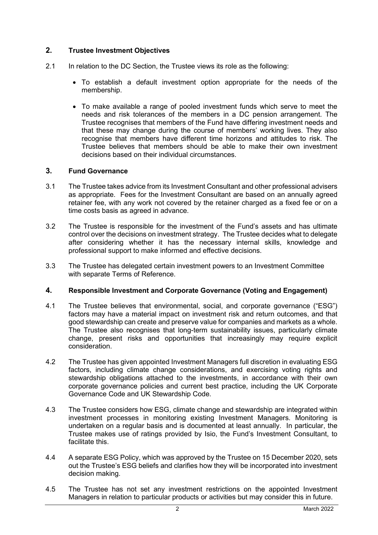## **2. Trustee Investment Objectives**

- 2.1 In relation to the DC Section, the Trustee views its role as the following:
	- To establish a default investment option appropriate for the needs of the membership.
	- To make available a range of pooled investment funds which serve to meet the needs and risk tolerances of the members in a DC pension arrangement. The Trustee recognises that members of the Fund have differing investment needs and that these may change during the course of members' working lives. They also recognise that members have different time horizons and attitudes to risk. The Trustee believes that members should be able to make their own investment decisions based on their individual circumstances.

## **3. Fund Governance**

- 3.1 The Trustee takes advice from its Investment Consultant and other professional advisers as appropriate. Fees for the Investment Consultant are based on an annually agreed retainer fee, with any work not covered by the retainer charged as a fixed fee or on a time costs basis as agreed in advance.
- 3.2 The Trustee is responsible for the investment of the Fund's assets and has ultimate control over the decisions on investment strategy. The Trustee decides what to delegate after considering whether it has the necessary internal skills, knowledge and professional support to make informed and effective decisions.
- 3.3 The Trustee has delegated certain investment powers to an Investment Committee with separate Terms of Reference.

## **4. Responsible Investment and Corporate Governance (Voting and Engagement)**

- 4.1 The Trustee believes that environmental, social, and corporate governance ("ESG") factors may have a material impact on investment risk and return outcomes, and that good stewardship can create and preserve value for companies and markets as a whole. The Trustee also recognises that long-term sustainability issues, particularly climate change, present risks and opportunities that increasingly may require explicit consideration.
- 4.2 The Trustee has given appointed Investment Managers full discretion in evaluating ESG factors, including climate change considerations, and exercising voting rights and stewardship obligations attached to the investments, in accordance with their own corporate governance policies and current best practice, including the UK Corporate Governance Code and UK Stewardship Code.
- 4.3 The Trustee considers how ESG, climate change and stewardship are integrated within investment processes in monitoring existing Investment Managers. Monitoring is undertaken on a regular basis and is documented at least annually. In particular, the Trustee makes use of ratings provided by Isio, the Fund's Investment Consultant, to facilitate this.
- 4.4 A separate ESG Policy, which was approved by the Trustee on 15 December 2020, sets out the Trustee's ESG beliefs and clarifies how they will be incorporated into investment decision making.
- 4.5 The Trustee has not set any investment restrictions on the appointed Investment Managers in relation to particular products or activities but may consider this in future.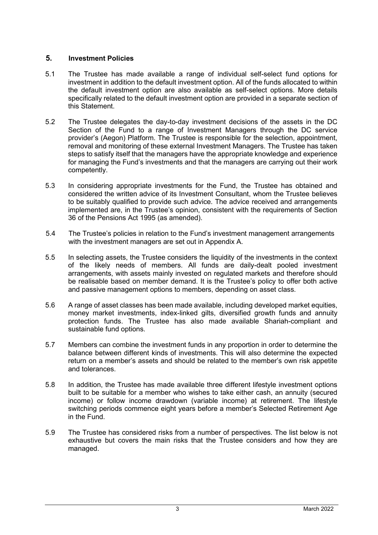## **5. Investment Policies**

- 5.1 The Trustee has made available a range of individual self-select fund options for investment in addition to the default investment option. All of the funds allocated to within the default investment option are also available as self-select options. More details specifically related to the default investment option are provided in a separate section of this Statement.
- 5.2 The Trustee delegates the day-to-day investment decisions of the assets in the DC Section of the Fund to a range of Investment Managers through the DC service provider's (Aegon) Platform. The Trustee is responsible for the selection, appointment, removal and monitoring of these external Investment Managers. The Trustee has taken steps to satisfy itself that the managers have the appropriate knowledge and experience for managing the Fund's investments and that the managers are carrying out their work competently.
- 5.3 In considering appropriate investments for the Fund, the Trustee has obtained and considered the written advice of its Investment Consultant, whom the Trustee believes to be suitably qualified to provide such advice. The advice received and arrangements implemented are, in the Trustee's opinion, consistent with the requirements of Section 36 of the Pensions Act 1995 (as amended).
- 5.4 The Trustee's policies in relation to the Fund's investment management arrangements with the investment managers are set out in Appendix A.
- 5.5 In selecting assets, the Trustee considers the liquidity of the investments in the context of the likely needs of members. All funds are daily-dealt pooled investment arrangements, with assets mainly invested on regulated markets and therefore should be realisable based on member demand. It is the Trustee's policy to offer both active and passive management options to members, depending on asset class.
- 5.6 A range of asset classes has been made available, including developed market equities, money market investments, index-linked gilts, diversified growth funds and annuity protection funds. The Trustee has also made available Shariah-compliant and sustainable fund options.
- 5.7 Members can combine the investment funds in any proportion in order to determine the balance between different kinds of investments. This will also determine the expected return on a member's assets and should be related to the member's own risk appetite and tolerances.
- 5.8 In addition, the Trustee has made available three different lifestyle investment options built to be suitable for a member who wishes to take either cash, an annuity (secured income) or follow income drawdown (variable income) at retirement. The lifestyle switching periods commence eight years before a member's Selected Retirement Age in the Fund.
- 5.9 The Trustee has considered risks from a number of perspectives. The list below is not exhaustive but covers the main risks that the Trustee considers and how they are managed.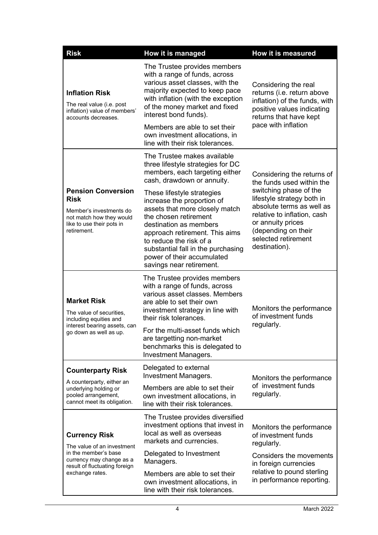| <b>Risk</b>                                                                                                                                 | How it is managed                                                                                                                                                                                                                                                                                          | <b>How it is measured</b>                                                                                                                                                                                                                                       |  |
|---------------------------------------------------------------------------------------------------------------------------------------------|------------------------------------------------------------------------------------------------------------------------------------------------------------------------------------------------------------------------------------------------------------------------------------------------------------|-----------------------------------------------------------------------------------------------------------------------------------------------------------------------------------------------------------------------------------------------------------------|--|
| <b>Inflation Risk</b><br>The real value (i.e. post<br>inflation) value of members'<br>accounts decreases.                                   | The Trustee provides members<br>with a range of funds, across<br>various asset classes, with the<br>majority expected to keep pace<br>with inflation (with the exception<br>of the money market and fixed<br>interest bond funds).<br>Members are able to set their<br>own investment allocations, in      | Considering the real<br>returns (i.e. return above<br>inflation) of the funds, with<br>positive values indicating<br>returns that have kept<br>pace with inflation                                                                                              |  |
|                                                                                                                                             | line with their risk tolerances.<br>The Trustee makes available                                                                                                                                                                                                                                            |                                                                                                                                                                                                                                                                 |  |
|                                                                                                                                             | three lifestyle strategies for DC<br>members, each targeting either<br>cash, drawdown or annuity.                                                                                                                                                                                                          | Considering the returns of<br>the funds used within the<br>switching phase of the<br>lifestyle strategy both in<br>absolute terms as well as<br>relative to inflation, cash<br>or annuity prices<br>(depending on their<br>selected retirement<br>destination). |  |
| <b>Pension Conversion</b><br><b>Risk</b><br>Member's investments do<br>not match how they would<br>like to use their pots in<br>retirement. | These lifestyle strategies<br>increase the proportion of<br>assets that more closely match<br>the chosen retirement<br>destination as members<br>approach retirement. This aims<br>to reduce the risk of a<br>substantial fall in the purchasing<br>power of their accumulated<br>savings near retirement. |                                                                                                                                                                                                                                                                 |  |
| <b>Market Risk</b><br>The value of securities,<br>including equities and                                                                    | The Trustee provides members<br>with a range of funds, across<br>various asset classes. Members<br>are able to set their own<br>investment strategy in line with<br>their risk tolerances.                                                                                                                 | Monitors the performance<br>of investment funds                                                                                                                                                                                                                 |  |
| interest bearing assets, can<br>go down as well as up.                                                                                      | For the multi-asset funds which<br>are targetting non-market<br>benchmarks this is delegated to<br><b>Investment Managers.</b>                                                                                                                                                                             | regularly.                                                                                                                                                                                                                                                      |  |
| <b>Counterparty Risk</b>                                                                                                                    | Delegated to external<br><b>Investment Managers.</b>                                                                                                                                                                                                                                                       | Monitors the performance<br>of investment funds<br>regularly.                                                                                                                                                                                                   |  |
| A counterparty, either an<br>underlying holding or<br>pooled arrangement,<br>cannot meet its obligation.                                    | Members are able to set their<br>own investment allocations, in<br>line with their risk tolerances.                                                                                                                                                                                                        |                                                                                                                                                                                                                                                                 |  |
| <b>Currency Risk</b><br>The value of an investment                                                                                          | The Trustee provides diversified<br>investment options that invest in<br>local as well as overseas<br>markets and currencies.                                                                                                                                                                              | Monitors the performance<br>of investment funds<br>regularly.                                                                                                                                                                                                   |  |
| in the member's base<br>currency may change as a<br>result of fluctuating foreign                                                           | Delegated to Investment<br>Managers.                                                                                                                                                                                                                                                                       | Considers the movements<br>in foreign currencies                                                                                                                                                                                                                |  |
| exchange rates.                                                                                                                             | Members are able to set their<br>own investment allocations, in<br>line with their risk tolerances.                                                                                                                                                                                                        | relative to pound sterling<br>in performance reporting.                                                                                                                                                                                                         |  |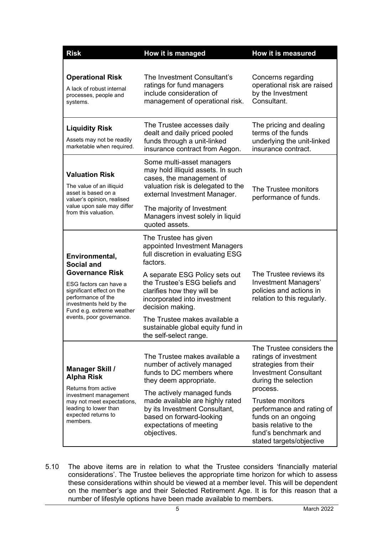| <b>Risk</b>                                                                                                                                                                                                                    | How it is managed                                                                                                                                                                                                                                                                                                                                            | How it is measured                                                                                                                                                                                                                                                                                          |
|--------------------------------------------------------------------------------------------------------------------------------------------------------------------------------------------------------------------------------|--------------------------------------------------------------------------------------------------------------------------------------------------------------------------------------------------------------------------------------------------------------------------------------------------------------------------------------------------------------|-------------------------------------------------------------------------------------------------------------------------------------------------------------------------------------------------------------------------------------------------------------------------------------------------------------|
| <b>Operational Risk</b><br>A lack of robust internal<br>processes, people and<br>systems.                                                                                                                                      | The Investment Consultant's<br>ratings for fund managers<br>include consideration of<br>management of operational risk.                                                                                                                                                                                                                                      | Concerns regarding<br>operational risk are raised<br>by the Investment<br>Consultant.                                                                                                                                                                                                                       |
| <b>Liquidity Risk</b><br>Assets may not be readily<br>marketable when required.                                                                                                                                                | The Trustee accesses daily<br>dealt and daily priced pooled<br>funds through a unit-linked<br>insurance contract from Aegon.                                                                                                                                                                                                                                 | The pricing and dealing<br>terms of the funds<br>underlying the unit-linked<br>insurance contract.                                                                                                                                                                                                          |
| <b>Valuation Risk</b><br>The value of an illiquid<br>asset is based on a<br>valuer's opinion, realised<br>value upon sale may differ<br>from this valuation.                                                                   | Some multi-asset managers<br>may hold illiquid assets. In such<br>cases, the management of<br>valuation risk is delegated to the<br>external Investment Manager.<br>The majority of Investment<br>Managers invest solely in liquid<br>quoted assets.                                                                                                         | The Trustee monitors<br>performance of funds.                                                                                                                                                                                                                                                               |
| Environmental,<br><b>Social and</b><br><b>Governance Risk</b><br>ESG factors can have a<br>significant effect on the<br>performance of the<br>investments held by the<br>Fund e.g. extreme weather<br>events, poor governance. | The Trustee has given<br>appointed Investment Managers<br>full discretion in evaluating ESG<br>factors.<br>A separate ESG Policy sets out<br>the Trustee's ESG beliefs and<br>clarifies how they will be<br>incorporated into investment<br>decision making.<br>The Trustee makes available a<br>sustainable global equity fund in<br>the self-select range. | The Trustee reviews its<br>Investment Managers'<br>policies and actions in<br>relation to this regularly.                                                                                                                                                                                                   |
| <b>Manager Skill /</b><br><b>Alpha Risk</b><br>Returns from active<br>investment management<br>may not meet expectations,<br>leading to lower than<br>expected returns to<br>members.                                          | The Trustee makes available a<br>number of actively managed<br>funds to DC members where<br>they deem appropriate.<br>The actively managed funds<br>made available are highly rated<br>by its Investment Consultant,<br>based on forward-looking<br>expectations of meeting<br>objectives.                                                                   | The Trustee considers the<br>ratings of investment<br>strategies from their<br><b>Investment Consultant</b><br>during the selection<br>process.<br><b>Trustee monitors</b><br>performance and rating of<br>funds on an ongoing<br>basis relative to the<br>fund's benchmark and<br>stated targets/objective |

5.10 The above items are in relation to what the Trustee considers 'financially material considerations'. The Trustee believes the appropriate time horizon for which to assess these considerations within should be viewed at a member level. This will be dependent on the member's age and their Selected Retirement Age. It is for this reason that a number of lifestyle options have been made available to members.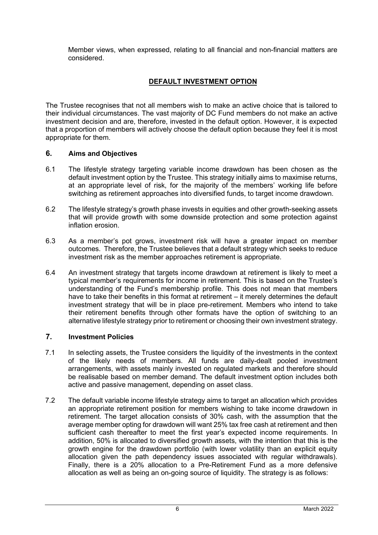Member views, when expressed, relating to all financial and non-financial matters are considered.

## **DEFAULT INVESTMENT OPTION**

The Trustee recognises that not all members wish to make an active choice that is tailored to their individual circumstances. The vast majority of DC Fund members do not make an active investment decision and are, therefore, invested in the default option. However, it is expected that a proportion of members will actively choose the default option because they feel it is most appropriate for them.

## **6. Aims and Objectives**

- 6.1 The lifestyle strategy targeting variable income drawdown has been chosen as the default investment option by the Trustee. This strategy initially aims to maximise returns, at an appropriate level of risk, for the majority of the members' working life before switching as retirement approaches into diversified funds, to target income drawdown.
- 6.2 The lifestyle strategy's growth phase invests in equities and other growth-seeking assets that will provide growth with some downside protection and some protection against inflation erosion.
- 6.3 As a member's pot grows, investment risk will have a greater impact on member outcomes. Therefore, the Trustee believes that a default strategy which seeks to reduce investment risk as the member approaches retirement is appropriate.
- 6.4 An investment strategy that targets income drawdown at retirement is likely to meet a typical member's requirements for income in retirement. This is based on the Trustee's understanding of the Fund's membership profile. This does not mean that members have to take their benefits in this format at retirement – it merely determines the default investment strategy that will be in place pre-retirement. Members who intend to take their retirement benefits through other formats have the option of switching to an alternative lifestyle strategy prior to retirement or choosing their own investment strategy.

## **7. Investment Policies**

- 7.1 In selecting assets, the Trustee considers the liquidity of the investments in the context of the likely needs of members. All funds are daily-dealt pooled investment arrangements, with assets mainly invested on regulated markets and therefore should be realisable based on member demand. The default investment option includes both active and passive management, depending on asset class.
- 7.2 The default variable income lifestyle strategy aims to target an allocation which provides an appropriate retirement position for members wishing to take income drawdown in retirement. The target allocation consists of 30% cash, with the assumption that the average member opting for drawdown will want 25% tax free cash at retirement and then sufficient cash thereafter to meet the first year's expected income requirements. In addition, 50% is allocated to diversified growth assets, with the intention that this is the growth engine for the drawdown portfolio (with lower volatility than an explicit equity allocation given the path dependency issues associated with regular withdrawals). Finally, there is a 20% allocation to a Pre-Retirement Fund as a more defensive allocation as well as being an on-going source of liquidity. The strategy is as follows: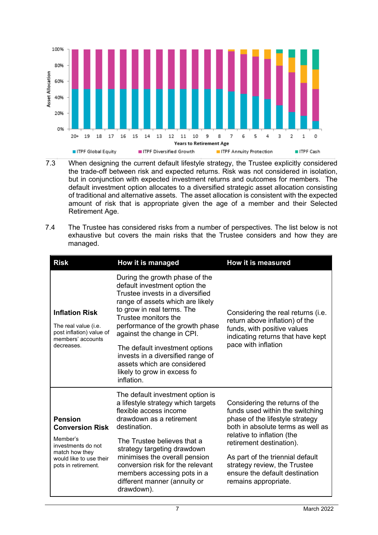

- 7.3 When designing the current default lifestyle strategy, the Trustee explicitly considered the trade-off between risk and expected returns. Risk was not considered in isolation, but in conjunction with expected investment returns and outcomes for members. The default investment option allocates to a diversified strategic asset allocation consisting of traditional and alternative assets. The asset allocation is consistent with the expected amount of risk that is appropriate given the age of a member and their Selected Retirement Age.
- 7.4 The Trustee has considered risks from a number of perspectives. The list below is not exhaustive but covers the main risks that the Trustee considers and how they are managed.

| <b>Risk</b>                                                                                                                                    | How it is managed                                                                                                                                                                                                                                                                                                                                                                                                 | <b>How it is measured</b>                                                                                                                                                                                                                                                                                                         |
|------------------------------------------------------------------------------------------------------------------------------------------------|-------------------------------------------------------------------------------------------------------------------------------------------------------------------------------------------------------------------------------------------------------------------------------------------------------------------------------------------------------------------------------------------------------------------|-----------------------------------------------------------------------------------------------------------------------------------------------------------------------------------------------------------------------------------------------------------------------------------------------------------------------------------|
| <b>Inflation Risk</b><br>The real value (i.e.<br>post inflation) value of<br>members' accounts<br>decreases.                                   | During the growth phase of the<br>default investment option the<br>Trustee invests in a diversified<br>range of assets which are likely<br>to grow in real terms. The<br>Trustee monitors the<br>performance of the growth phase<br>against the change in CPI.<br>The default investment options<br>invests in a diversified range of<br>assets which are considered<br>likely to grow in excess fo<br>inflation. | Considering the real returns (i.e.<br>return above inflation) of the<br>funds, with positive values<br>indicating returns that have kept<br>pace with inflation                                                                                                                                                                   |
| <b>Pension</b><br><b>Conversion Risk</b><br>Member's<br>investments do not<br>match how they<br>would like to use their<br>pots in retirement. | The default investment option is<br>a lifestyle strategy which targets<br>flexible access income<br>drawdown as a retirement<br>destination.<br>The Trustee believes that a<br>strategy targeting drawdown<br>minimises the overall pension<br>conversion risk for the relevant<br>members accessing pots in a<br>different manner (annuity or<br>drawdown).                                                      | Considering the returns of the<br>funds used within the switching<br>phase of the lifestyle strategy<br>both in absolute terms as well as<br>relative to inflation (the<br>retirement destination).<br>As part of the triennial default<br>strategy review, the Trustee<br>ensure the default destination<br>remains appropriate. |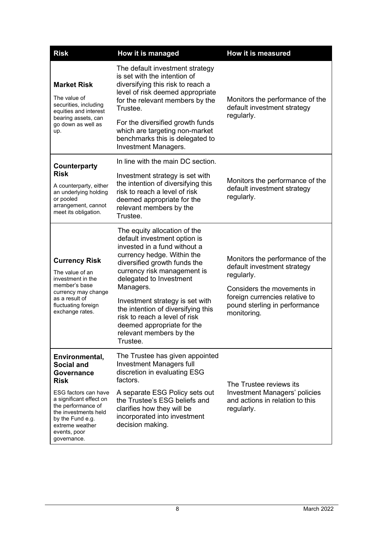| <b>Risk</b>                                                                                                                                                                                                                             | How it is managed                                                                                                                                                                                                                                                                                                                                                                                                | How it is measured                                                                                                                                                                           |
|-----------------------------------------------------------------------------------------------------------------------------------------------------------------------------------------------------------------------------------------|------------------------------------------------------------------------------------------------------------------------------------------------------------------------------------------------------------------------------------------------------------------------------------------------------------------------------------------------------------------------------------------------------------------|----------------------------------------------------------------------------------------------------------------------------------------------------------------------------------------------|
| <b>Market Risk</b><br>The value of<br>securities, including<br>equities and interest<br>bearing assets, can<br>go down as well as<br>up.                                                                                                | The default investment strategy<br>is set with the intention of<br>diversifying this risk to reach a<br>level of risk deemed appropriate<br>for the relevant members by the<br>Trustee.<br>For the diversified growth funds<br>which are targeting non-market<br>benchmarks this is delegated to<br><b>Investment Managers.</b>                                                                                  | Monitors the performance of the<br>default investment strategy<br>regularly.                                                                                                                 |
| <b>Counterparty</b><br><b>Risk</b><br>A counterparty, either<br>an underlying holding<br>or pooled<br>arrangement, cannot<br>meet its obligation.                                                                                       | In line with the main DC section.<br>Investment strategy is set with<br>the intention of diversifying this<br>risk to reach a level of risk<br>deemed appropriate for the<br>relevant members by the<br>Trustee.                                                                                                                                                                                                 | Monitors the performance of the<br>default investment strategy<br>regularly.                                                                                                                 |
| <b>Currency Risk</b><br>The value of an<br>investment in the<br>member's base<br>currency may change<br>as a result of<br>fluctuating foreign<br>exchange rates.                                                                        | The equity allocation of the<br>default investment option is<br>invested in a fund without a<br>currency hedge. Within the<br>diversified growth funds the<br>currency risk management is<br>delegated to Investment<br>Managers.<br>Investment strategy is set with<br>the intention of diversifying this<br>risk to reach a level of risk<br>deemed appropriate for the<br>relevant members by the<br>Trustee. | Monitors the performance of the<br>default investment strategy<br>regularly.<br>Considers the movements in<br>foreign currencies relative to<br>pound sterling in performance<br>monitoring. |
| Environmental,<br><b>Social and</b><br>Governance<br><b>Risk</b><br>ESG factors can have<br>a significant effect on<br>the performance of<br>the investments held<br>by the Fund e.g.<br>extreme weather<br>events, poor<br>governance. | The Trustee has given appointed<br>Investment Managers full<br>discretion in evaluating ESG<br>factors.<br>A separate ESG Policy sets out<br>the Trustee's ESG beliefs and<br>clarifies how they will be<br>incorporated into investment<br>decision making.                                                                                                                                                     | The Trustee reviews its<br>Investment Managers' policies<br>and actions in relation to this<br>regularly.                                                                                    |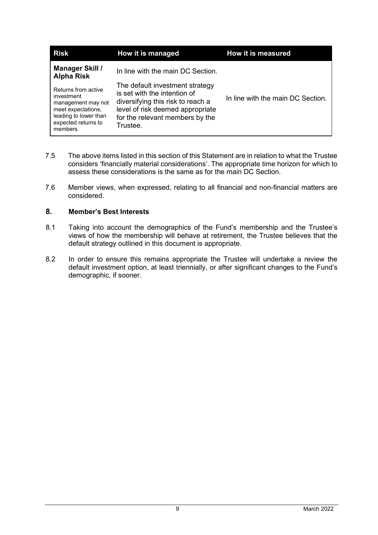| <b>Risk</b>                                                                                                                               | How it is managed                                                                                                                                                                       | How it is measured                |
|-------------------------------------------------------------------------------------------------------------------------------------------|-----------------------------------------------------------------------------------------------------------------------------------------------------------------------------------------|-----------------------------------|
| <b>Manager Skill /</b><br><b>Alpha Risk</b>                                                                                               | In line with the main DC Section.                                                                                                                                                       |                                   |
| Returns from active<br>investment<br>management may not<br>meet expectations,<br>leading to lower than<br>expected returns to<br>members. | The default investment strategy<br>is set with the intention of<br>diversifying this risk to reach a<br>level of risk deemed appropriate<br>for the relevant members by the<br>Trustee. | In line with the main DC Section. |

- 7.5 The above items listed in this section of this Statement are in relation to what the Trustee considers 'financially material considerations'. The appropriate time horizon for which to assess these considerations is the same as for the main DC Section.
- 7.6 Member views, when expressed, relating to all financial and non-financial matters are considered.

## **8. Member's Best Interests**

- 8.1 Taking into account the demographics of the Fund's membership and the Trustee's views of how the membership will behave at retirement, the Trustee believes that the default strategy outlined in this document is appropriate.
- 8.2 In order to ensure this remains appropriate the Trustee will undertake a review the default investment option, at least triennially, or after significant changes to the Fund's demographic, if sooner.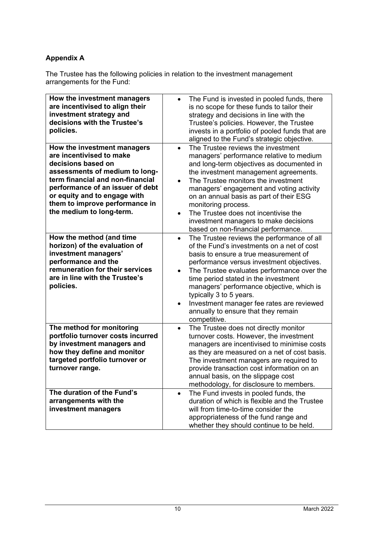## **Appendix A**

The Trustee has the following policies in relation to the investment management arrangements for the Fund:

| How the investment managers<br>are incentivised to align their<br>investment strategy and<br>decisions with the Trustee's<br>policies.                                                                                                                                                | The Fund is invested in pooled funds, there<br>$\bullet$<br>is no scope for these funds to tailor their<br>strategy and decisions in line with the<br>Trustee's policies. However, the Trustee<br>invests in a portfolio of pooled funds that are<br>aligned to the Fund's strategic objective.                                                                                                                                                                                         |
|---------------------------------------------------------------------------------------------------------------------------------------------------------------------------------------------------------------------------------------------------------------------------------------|-----------------------------------------------------------------------------------------------------------------------------------------------------------------------------------------------------------------------------------------------------------------------------------------------------------------------------------------------------------------------------------------------------------------------------------------------------------------------------------------|
| How the investment managers<br>are incentivised to make<br>decisions based on<br>assessments of medium to long-<br>term financial and non-financial<br>performance of an issuer of debt<br>or equity and to engage with<br>them to improve performance in<br>the medium to long-term. | The Trustee reviews the investment<br>$\bullet$<br>managers' performance relative to medium<br>and long-term objectives as documented in<br>the investment management agreements.<br>The Trustee monitors the investment<br>managers' engagement and voting activity<br>on an annual basis as part of their ESG<br>monitoring process.<br>The Trustee does not incentivise the<br>$\bullet$<br>investment managers to make decisions<br>based on non-financial performance.             |
| How the method (and time<br>horizon) of the evaluation of<br>investment managers'<br>performance and the<br>remuneration for their services<br>are in line with the Trustee's<br>policies.                                                                                            | The Trustee reviews the performance of all<br>$\bullet$<br>of the Fund's investments on a net of cost<br>basis to ensure a true measurement of<br>performance versus investment objectives.<br>The Trustee evaluates performance over the<br>$\bullet$<br>time period stated in the investment<br>managers' performance objective, which is<br>typically 3 to 5 years.<br>Investment manager fee rates are reviewed<br>$\bullet$<br>annually to ensure that they remain<br>competitive. |
| The method for monitoring<br>portfolio turnover costs incurred<br>by investment managers and<br>how they define and monitor<br>targeted portfolio turnover or<br>turnover range.<br>The duration of the Fund's                                                                        | The Trustee does not directly monitor<br>$\bullet$<br>turnover costs. However, the investment<br>managers are incentivised to minimise costs<br>as they are measured on a net of cost basis.<br>The investment managers are required to<br>provide transaction cost information on an<br>annual basis, on the slippage cost<br>methodology, for disclosure to members.<br>The Fund invests in pooled funds, the<br>$\bullet$                                                            |
| arrangements with the<br>investment managers                                                                                                                                                                                                                                          | duration of which is flexible and the Trustee<br>will from time-to-time consider the<br>appropriateness of the fund range and<br>whether they should continue to be held.                                                                                                                                                                                                                                                                                                               |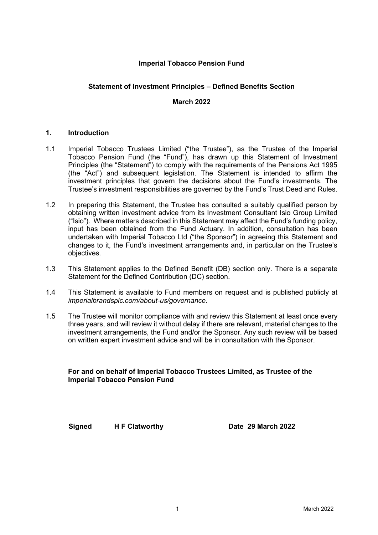## **Imperial Tobacco Pension Fund**

## **Statement of Investment Principles – Defined Benefits Section**

## **March 2022**

## **1. Introduction**

- 1.1 Imperial Tobacco Trustees Limited ("the Trustee"), as the Trustee of the Imperial Tobacco Pension Fund (the "Fund"), has drawn up this Statement of Investment Principles (the "Statement") to comply with the requirements of the Pensions Act 1995 (the "Act") and subsequent legislation. The Statement is intended to affirm the investment principles that govern the decisions about the Fund's investments. The Trustee's investment responsibilities are governed by the Fund's Trust Deed and Rules.
- 1.2 In preparing this Statement, the Trustee has consulted a suitably qualified person by obtaining written investment advice from its Investment Consultant Isio Group Limited ("Isio"). Where matters described in this Statement may affect the Fund's funding policy, input has been obtained from the Fund Actuary. In addition, consultation has been undertaken with Imperial Tobacco Ltd ("the Sponsor") in agreeing this Statement and changes to it, the Fund's investment arrangements and, in particular on the Trustee's objectives.
- 1.3 This Statement applies to the Defined Benefit (DB) section only. There is a separate Statement for the Defined Contribution (DC) section.
- 1.4 This Statement is available to Fund members on request and is published publicly at *[imperialbrandsplc.com/about-us/governance.](https://www.imperialbrandsplc.com/about-us/governance.html)*
- 1.5 The Trustee will monitor compliance with and review this Statement at least once every three years, and will review it without delay if there are relevant, material changes to the investment arrangements, the Fund and/or the Sponsor. Any such review will be based on written expert investment advice and will be in consultation with the Sponsor.

**For and on behalf of Imperial Tobacco Trustees Limited, as Trustee of the Imperial Tobacco Pension Fund**

**Signed H F Clatworthy Date 29 March 2022**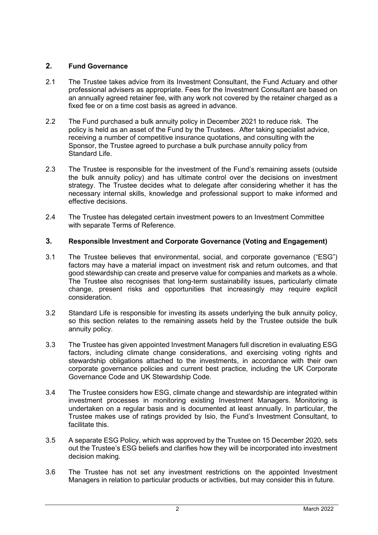## **2. Fund Governance**

- 2.1 The Trustee takes advice from its Investment Consultant, the Fund Actuary and other professional advisers as appropriate. Fees for the Investment Consultant are based on an annually agreed retainer fee, with any work not covered by the retainer charged as a fixed fee or on a time cost basis as agreed in advance.
- 2.2 The Fund purchased a bulk annuity policy in December 2021 to reduce risk. The policy is held as an asset of the Fund by the Trustees. After taking specialist advice, receiving a number of competitive insurance quotations, and consulting with the Sponsor, the Trustee agreed to purchase a bulk purchase annuity policy from Standard Life.
- 2.3 The Trustee is responsible for the investment of the Fund's remaining assets (outside the bulk annuity policy) and has ultimate control over the decisions on investment strategy. The Trustee decides what to delegate after considering whether it has the necessary internal skills, knowledge and professional support to make informed and effective decisions.
- 2.4 The Trustee has delegated certain investment powers to an Investment Committee with separate Terms of Reference.

## **3. Responsible Investment and Corporate Governance (Voting and Engagement)**

- 3.1 The Trustee believes that environmental, social, and corporate governance ("ESG") factors may have a material impact on investment risk and return outcomes, and that good stewardship can create and preserve value for companies and markets as a whole. The Trustee also recognises that long-term sustainability issues, particularly climate change, present risks and opportunities that increasingly may require explicit consideration.
- 3.2 Standard Life is responsible for investing its assets underlying the bulk annuity policy, so this section relates to the remaining assets held by the Trustee outside the bulk annuity policy.
- 3.3 The Trustee has given appointed Investment Managers full discretion in evaluating ESG factors, including climate change considerations, and exercising voting rights and stewardship obligations attached to the investments, in accordance with their own corporate governance policies and current best practice, including the UK Corporate Governance Code and UK Stewardship Code.
- 3.4 The Trustee considers how ESG, climate change and stewardship are integrated within investment processes in monitoring existing Investment Managers. Monitoring is undertaken on a regular basis and is documented at least annually. In particular, the Trustee makes use of ratings provided by Isio, the Fund's Investment Consultant, to facilitate this.
- 3.5 A separate ESG Policy, which was approved by the Trustee on 15 December 2020, sets out the Trustee's ESG beliefs and clarifies how they will be incorporated into investment decision making.
- 3.6 The Trustee has not set any investment restrictions on the appointed Investment Managers in relation to particular products or activities, but may consider this in future.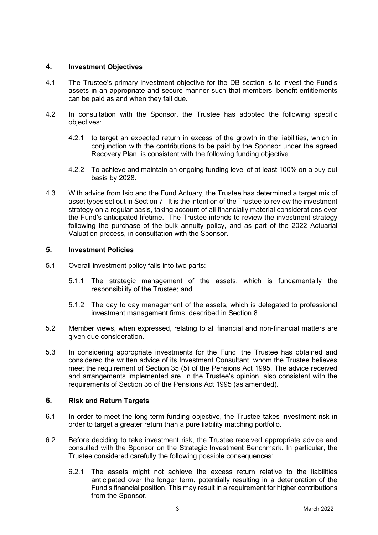## **4. Investment Objectives**

- 4.1 The Trustee's primary investment objective for the DB section is to invest the Fund's assets in an appropriate and secure manner such that members' benefit entitlements can be paid as and when they fall due.
- 4.2 In consultation with the Sponsor, the Trustee has adopted the following specific objectives:
	- 4.2.1 to target an expected return in excess of the growth in the liabilities, which in conjunction with the contributions to be paid by the Sponsor under the agreed Recovery Plan, is consistent with the following funding objective.
	- 4.2.2 To achieve and maintain an ongoing funding level of at least 100% on a buy-out basis by 2028.
- 4.3 With advice from Isio and the Fund Actuary, the Trustee has determined a target mix of asset types set out in Section 7. It is the intention of the Trustee to review the investment strategy on a regular basis, taking account of all financially material considerations over the Fund's anticipated lifetime. The Trustee intends to review the investment strategy following the purchase of the bulk annuity policy, and as part of the 2022 Actuarial Valuation process, in consultation with the Sponsor.

## **5. Investment Policies**

- 5.1 Overall investment policy falls into two parts:
	- 5.1.1 The strategic management of the assets, which is fundamentally the responsibility of the Trustee; and
	- 5.1.2 The day to day management of the assets, which is delegated to professional investment management firms, described in Section 8.
- 5.2 Member views, when expressed, relating to all financial and non-financial matters are given due consideration.
- 5.3 In considering appropriate investments for the Fund, the Trustee has obtained and considered the written advice of its Investment Consultant, whom the Trustee believes meet the requirement of Section 35 (5) of the Pensions Act 1995. The advice received and arrangements implemented are, in the Trustee's opinion, also consistent with the requirements of Section 36 of the Pensions Act 1995 (as amended).

## **6. Risk and Return Targets**

- 6.1 In order to meet the long-term funding objective, the Trustee takes investment risk in order to target a greater return than a pure liability matching portfolio.
- 6.2 Before deciding to take investment risk, the Trustee received appropriate advice and consulted with the Sponsor on the Strategic Investment Benchmark. In particular, the Trustee considered carefully the following possible consequences:
	- 6.2.1 The assets might not achieve the excess return relative to the liabilities anticipated over the longer term, potentially resulting in a deterioration of the Fund's financial position. This may result in a requirement for higher contributions from the Sponsor.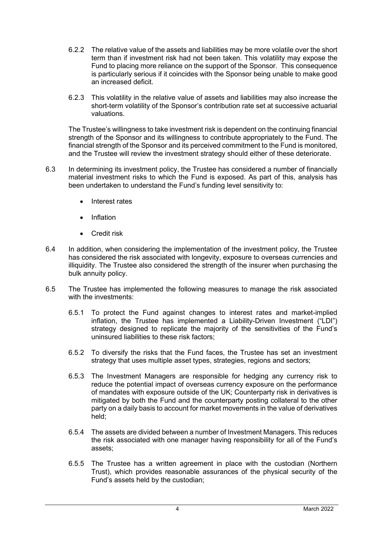- 6.2.2 The relative value of the assets and liabilities may be more volatile over the short term than if investment risk had not been taken. This volatility may expose the Fund to placing more reliance on the support of the Sponsor. This consequence is particularly serious if it coincides with the Sponsor being unable to make good an increased deficit.
- 6.2.3 This volatility in the relative value of assets and liabilities may also increase the short-term volatility of the Sponsor's contribution rate set at successive actuarial valuations.

The Trustee's willingness to take investment risk is dependent on the continuing financial strength of the Sponsor and its willingness to contribute appropriately to the Fund. The financial strength of the Sponsor and its perceived commitment to the Fund is monitored, and the Trustee will review the investment strategy should either of these deteriorate.

- 6.3 In determining its investment policy, the Trustee has considered a number of financially material investment risks to which the Fund is exposed. As part of this, analysis has been undertaken to understand the Fund's funding level sensitivity to:
	- Interest rates
	- Inflation
	- Credit risk
- 6.4 In addition, when considering the implementation of the investment policy, the Trustee has considered the risk associated with longevity, exposure to overseas currencies and illiquidity. The Trustee also considered the strength of the insurer when purchasing the bulk annuity policy.
- 6.5 The Trustee has implemented the following measures to manage the risk associated with the investments:
	- 6.5.1 To protect the Fund against changes to interest rates and market-implied inflation, the Trustee has implemented a Liability-Driven Investment ("LDI") strategy designed to replicate the majority of the sensitivities of the Fund's uninsured liabilities to these risk factors;
	- 6.5.2 To diversify the risks that the Fund faces, the Trustee has set an investment strategy that uses multiple asset types, strategies, regions and sectors;
	- 6.5.3 The Investment Managers are responsible for hedging any currency risk to reduce the potential impact of overseas currency exposure on the performance of mandates with exposure outside of the UK; Counterparty risk in derivatives is mitigated by both the Fund and the counterparty posting collateral to the other party on a daily basis to account for market movements in the value of derivatives held;
	- 6.5.4 The assets are divided between a number of Investment Managers. This reduces the risk associated with one manager having responsibility for all of the Fund's assets;
	- 6.5.5 The Trustee has a written agreement in place with the custodian (Northern Trust), which provides reasonable assurances of the physical security of the Fund's assets held by the custodian;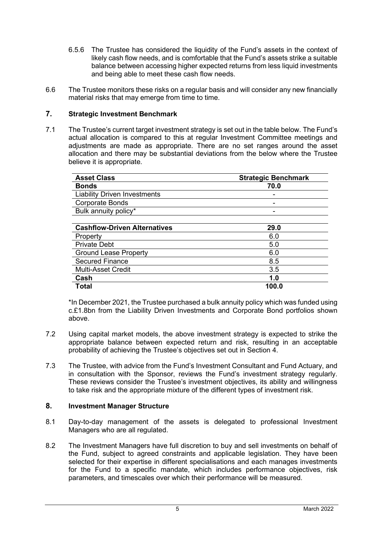- 6.5.6 The Trustee has considered the liquidity of the Fund's assets in the context of likely cash flow needs, and is comfortable that the Fund's assets strike a suitable balance between accessing higher expected returns from less liquid investments and being able to meet these cash flow needs.
- 6.6 The Trustee monitors these risks on a regular basis and will consider any new financially material risks that may emerge from time to time.

## **7. Strategic Investment Benchmark**

7.1 The Trustee's current target investment strategy is set out in the table below. The Fund's actual allocation is compared to this at regular Investment Committee meetings and adjustments are made as appropriate. There are no set ranges around the asset allocation and there may be substantial deviations from the below where the Trustee believe it is appropriate.

| <b>Asset Class</b>                  | <b>Strategic Benchmark</b> |
|-------------------------------------|----------------------------|
| <b>Bonds</b>                        | 70.0                       |
| <b>Liability Driven Investments</b> |                            |
| <b>Corporate Bonds</b>              |                            |
| Bulk annuity policy*                |                            |
|                                     |                            |
| <b>Cashflow-Driven Alternatives</b> | 29.0                       |
| Property                            | 6.0                        |
| <b>Private Debt</b>                 | 5.0                        |
| <b>Ground Lease Property</b>        | 6.0                        |
| <b>Secured Finance</b>              | 8.5                        |
| <b>Multi-Asset Credit</b>           | 3.5                        |
| Cash                                | 1.0                        |
| Total                               | 100.0                      |

\*In December 2021, the Trustee purchased a bulk annuity policy which was funded using c.£1.8bn from the Liability Driven Investments and Corporate Bond portfolios shown above.

- 7.2 Using capital market models, the above investment strategy is expected to strike the appropriate balance between expected return and risk, resulting in an acceptable probability of achieving the Trustee's objectives set out in Section 4.
- 7.3 The Trustee, with advice from the Fund's Investment Consultant and Fund Actuary, and in consultation with the Sponsor, reviews the Fund's investment strategy regularly. These reviews consider the Trustee's investment objectives, its ability and willingness to take risk and the appropriate mixture of the different types of investment risk.

## **8. Investment Manager Structure**

- 8.1 Day-to-day management of the assets is delegated to professional Investment Managers who are all regulated.
- 8.2 The Investment Managers have full discretion to buy and sell investments on behalf of the Fund, subject to agreed constraints and applicable legislation. They have been selected for their expertise in different specialisations and each manages investments for the Fund to a specific mandate, which includes performance objectives, risk parameters, and timescales over which their performance will be measured.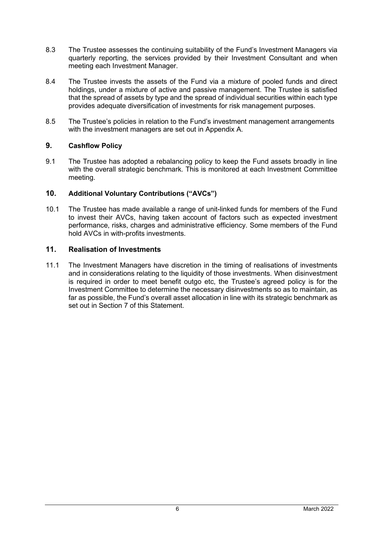- 8.3 The Trustee assesses the continuing suitability of the Fund's Investment Managers via quarterly reporting, the services provided by their Investment Consultant and when meeting each Investment Manager.
- 8.4 The Trustee invests the assets of the Fund via a mixture of pooled funds and direct holdings, under a mixture of active and passive management. The Trustee is satisfied that the spread of assets by type and the spread of individual securities within each type provides adequate diversification of investments for risk management purposes.
- 8.5 The Trustee's policies in relation to the Fund's investment management arrangements with the investment managers are set out in Appendix A.

## **9. Cashflow Policy**

9.1 The Trustee has adopted a rebalancing policy to keep the Fund assets broadly in line with the overall strategic benchmark. This is monitored at each Investment Committee meeting.

## **10. Additional Voluntary Contributions ("AVCs")**

10.1 The Trustee has made available a range of unit-linked funds for members of the Fund to invest their AVCs, having taken account of factors such as expected investment performance, risks, charges and administrative efficiency. Some members of the Fund hold AVCs in with-profits investments.

## **11. Realisation of Investments**

11.1 The Investment Managers have discretion in the timing of realisations of investments and in considerations relating to the liquidity of those investments. When disinvestment is required in order to meet benefit outgo etc, the Trustee's agreed policy is for the Investment Committee to determine the necessary disinvestments so as to maintain, as far as possible, the Fund's overall asset allocation in line with its strategic benchmark as set out in Section 7 of this Statement.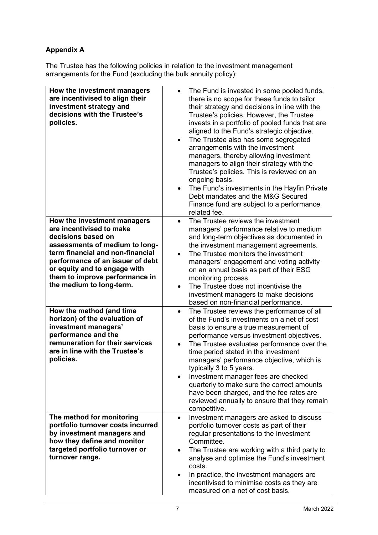## **Appendix A**

The Trustee has the following policies in relation to the investment management arrangements for the Fund (excluding the bulk annuity policy):

| How the investment managers<br>are incentivised to align their<br>investment strategy and<br>decisions with the Trustee's<br>policies.                                                                                                                                                                                                                                                                                                               | The Fund is invested in some pooled funds,<br>$\bullet$<br>there is no scope for these funds to tailor<br>their strategy and decisions in line with the<br>Trustee's policies. However, the Trustee<br>invests in a portfolio of pooled funds that are<br>aligned to the Fund's strategic objective.<br>The Trustee also has some segregated<br>$\bullet$<br>arrangements with the investment<br>managers, thereby allowing investment<br>managers to align their strategy with the<br>Trustee's policies. This is reviewed on an<br>ongoing basis.<br>The Fund's investments in the Hayfin Private<br>Debt mandates and the M&G Secured<br>Finance fund are subject to a performance<br>related fee.                                                                                                                                                                                                                               |
|------------------------------------------------------------------------------------------------------------------------------------------------------------------------------------------------------------------------------------------------------------------------------------------------------------------------------------------------------------------------------------------------------------------------------------------------------|-------------------------------------------------------------------------------------------------------------------------------------------------------------------------------------------------------------------------------------------------------------------------------------------------------------------------------------------------------------------------------------------------------------------------------------------------------------------------------------------------------------------------------------------------------------------------------------------------------------------------------------------------------------------------------------------------------------------------------------------------------------------------------------------------------------------------------------------------------------------------------------------------------------------------------------|
| How the investment managers                                                                                                                                                                                                                                                                                                                                                                                                                          | The Trustee reviews the investment<br>$\bullet$                                                                                                                                                                                                                                                                                                                                                                                                                                                                                                                                                                                                                                                                                                                                                                                                                                                                                     |
| are incentivised to make<br>decisions based on<br>assessments of medium to long-<br>term financial and non-financial<br>performance of an issuer of debt<br>or equity and to engage with<br>them to improve performance in<br>the medium to long-term.<br>How the method (and time<br>horizon) of the evaluation of<br>investment managers'<br>performance and the<br>remuneration for their services<br>are in line with the Trustee's<br>policies. | managers' performance relative to medium<br>and long-term objectives as documented in<br>the investment management agreements.<br>The Trustee monitors the investment<br>managers' engagement and voting activity<br>on an annual basis as part of their ESG<br>monitoring process.<br>The Trustee does not incentivise the<br>$\bullet$<br>investment managers to make decisions<br>based on non-financial performance.<br>The Trustee reviews the performance of all<br>$\bullet$<br>of the Fund's investments on a net of cost<br>basis to ensure a true measurement of<br>performance versus investment objectives.<br>The Trustee evaluates performance over the<br>$\bullet$<br>time period stated in the investment<br>managers' performance objective, which is<br>typically 3 to 5 years.<br>Investment manager fees are checked<br>quarterly to make sure the correct amounts<br>have been charged, and the fee rates are |
|                                                                                                                                                                                                                                                                                                                                                                                                                                                      | reviewed annually to ensure that they remain<br>competitive.                                                                                                                                                                                                                                                                                                                                                                                                                                                                                                                                                                                                                                                                                                                                                                                                                                                                        |
| The method for monitoring<br>portfolio turnover costs incurred<br>by investment managers and<br>how they define and monitor<br>targeted portfolio turnover or<br>turnover range.                                                                                                                                                                                                                                                                     | Investment managers are asked to discuss<br>٠<br>portfolio turnover costs as part of their<br>regular presentations to the Investment<br>Committee.<br>The Trustee are working with a third party to<br>$\bullet$<br>analyse and optimise the Fund's investment<br>costs.<br>In practice, the investment managers are<br>incentivised to minimise costs as they are<br>measured on a net of cost basis.                                                                                                                                                                                                                                                                                                                                                                                                                                                                                                                             |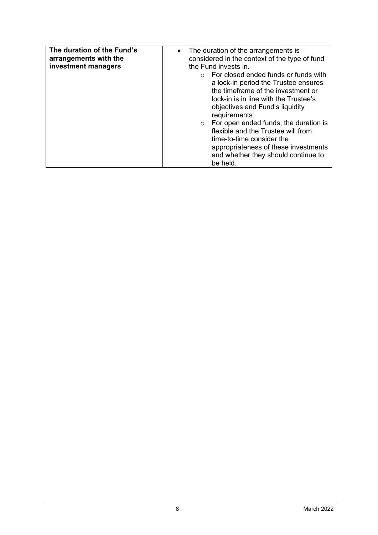| The duration of the Fund's<br>arrangements with the<br>investment managers | • The duration of the arrangements is<br>considered in the context of the type of fund<br>the Fund invests in.<br>For closed ended funds or funds with<br>a lock-in period the Trustee ensures<br>the timeframe of the investment or<br>lock-in is in line with the Trustee's<br>objectives and Fund's liquidity<br>requirements.<br>For open ended funds, the duration is<br>flexible and the Trustee will from<br>time-to-time consider the<br>appropriateness of these investments |
|----------------------------------------------------------------------------|---------------------------------------------------------------------------------------------------------------------------------------------------------------------------------------------------------------------------------------------------------------------------------------------------------------------------------------------------------------------------------------------------------------------------------------------------------------------------------------|
|                                                                            | and whether they should continue to<br>be held.                                                                                                                                                                                                                                                                                                                                                                                                                                       |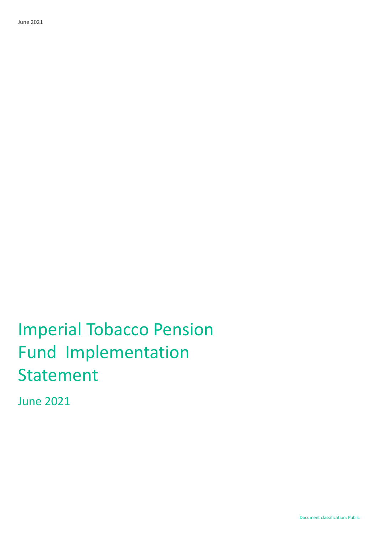Imperial Tobacco Pension Fund Implementation Statement

June 2021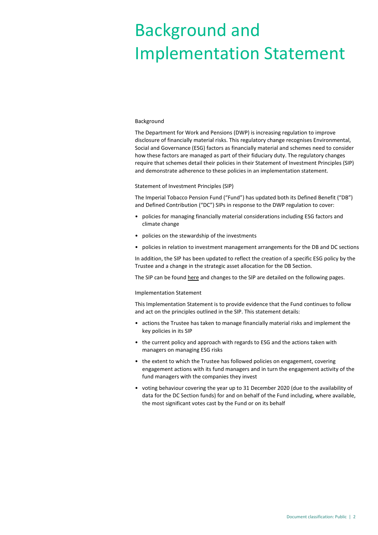# Background and Implementation Statement

#### Background

The Department for Work and Pensions (DWP) is increasing regulation to improve disclosure of financially material risks. This regulatory change recognises Environmental, Social and Governance (ESG) factors as financially material and schemes need to consider how these factors are managed as part of their fiduciary duty. The regulatory changes require that schemes detail their policies in their Statement of Investment Principles (SIP) and demonstrate adherence to these policies in an implementation statement.

#### Statement of Investment Principles (SIP)

The Imperial Tobacco Pension Fund ("Fund") has updated both its Defined Benefit ("DB") and Defined Contribution ("DC") SIPs in response to the DWP regulation to cover:

- policies for managing financially material considerations including ESG factors and climate change
- policies on the stewardship of the investments
- policies in relation to investment management arrangements for the DB and DC sections

In addition, the SIP has been updated to reflect the creation of a specific ESG policy by the Trustee and a change in the strategic asset allocation for the DB Section.

The SIP can be found [here](https://www.imperialbrandsplc.com/content/dam/imperial-brands/corporate/about-us/governance/2021/Imperial%20Tobacco%20Pension%20Fund%20Statements%20of%20Investment%20Principles.pdf) and changes to the SIP are detailed on the following pages.

#### Implementation Statement

This Implementation Statement is to provide evidence that the Fund continues to follow and act on the principles outlined in the SIP. This statement details:

- actions the Trustee has taken to manage financially material risks and implement the key policies in its SIP
- the current policy and approach with regards to ESG and the actions taken with managers on managing ESG risks
- the extent to which the Trustee has followed policies on engagement, covering engagement actions with its fund managers and in turn the engagement activity of the fund managers with the companies they invest
- voting behaviour covering the year up to 31 December 2020 (due to the availability of data for the DC Section funds) for and on behalf of the Fund including, where available, the most significant votes cast by the Fund or on its behalf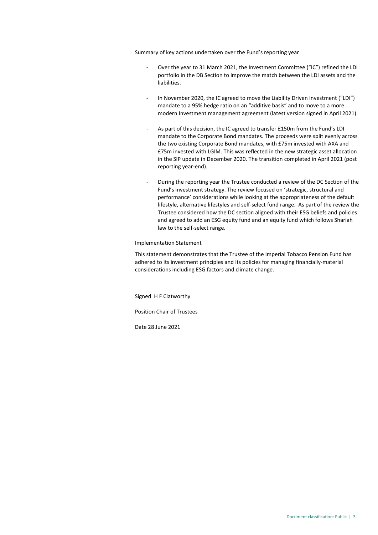Summary of key actions undertaken over the Fund's reporting year

- Over the year to 31 March 2021, the Investment Committee ("IC") refined the LDI portfolio in the DB Section to improve the match between the LDI assets and the liabilities.
- In November 2020, the IC agreed to move the Liability Driven Investment ("LDI") mandate to a 95% hedge ratio on an "additive basis" and to move to a more modern Investment management agreement (latest version signed in April 2021).
- As part of this decision, the IC agreed to transfer £150m from the Fund's LDI mandate to the Corporate Bond mandates. The proceeds were split evenly across the two existing Corporate Bond mandates, with £75m invested with AXA and £75m invested with LGIM. This was reflected in the new strategic asset allocation in the SIP update in December 2020. The transition completed in April 2021 (post reporting year-end).
- During the reporting year the Trustee conducted a review of the DC Section of the Fund's investment strategy. The review focused on 'strategic, structural and performance' considerations while looking at the appropriateness of the default lifestyle, alternative lifestyles and self-select fund range. As part of the review the Trustee considered how the DC section aligned with their ESG beliefs and policies and agreed to add an ESG equity fund and an equity fund which follows Shariah law to the self-select range.

Implementation Statement

This statement demonstrates that the Trustee of the Imperial Tobacco Pension Fund has adhered to its investment principles and its policies for managing financially-material considerations including ESG factors and climate change.

Signed H F Clatworthy

Position Chair of Trustees

Date 28 June 2021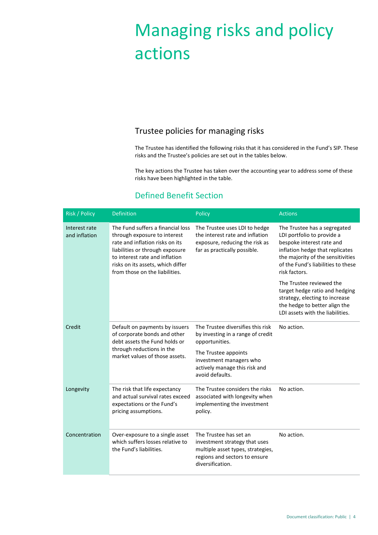# Managing risks and policy actions

## Trustee policies for managing risks

The Trustee has identified the following risks that it has considered in the Fund's SIP. These risks and the Trustee's policies are set out in the tables below.

The key actions the Trustee has taken over the accounting year to address some of these risks have been highlighted in the table.

## Defined Benefit Section

| Risk / Policy                  | <b>Definition</b>                                                                                                                                                                                                                                | Policy                                                                                                                                            | <b>Actions</b>                                                                                                                                                                                                         |
|--------------------------------|--------------------------------------------------------------------------------------------------------------------------------------------------------------------------------------------------------------------------------------------------|---------------------------------------------------------------------------------------------------------------------------------------------------|------------------------------------------------------------------------------------------------------------------------------------------------------------------------------------------------------------------------|
| Interest rate<br>and inflation | The Fund suffers a financial loss<br>through exposure to interest<br>rate and inflation risks on its<br>liabilities or through exposure<br>to interest rate and inflation<br>risks on its assets, which differ<br>from those on the liabilities. | The Trustee uses LDI to hedge<br>the interest rate and inflation<br>exposure, reducing the risk as<br>far as practically possible.                | The Trustee has a segregated<br>LDI portfolio to provide a<br>bespoke interest rate and<br>inflation hedge that replicates<br>the majority of the sensitivities<br>of the Fund's liabilities to these<br>risk factors. |
|                                |                                                                                                                                                                                                                                                  |                                                                                                                                                   | The Trustee reviewed the<br>target hedge ratio and hedging<br>strategy, electing to increase<br>the hedge to better align the<br>LDI assets with the liabilities.                                                      |
| Credit                         | Default on payments by issuers<br>of corporate bonds and other<br>debt assets the Fund holds or<br>through reductions in the<br>market values of those assets.                                                                                   | The Trustee diversifies this risk<br>by investing in a range of credit<br>opportunities.                                                          | No action.                                                                                                                                                                                                             |
|                                |                                                                                                                                                                                                                                                  | The Trustee appoints<br>investment managers who<br>actively manage this risk and<br>avoid defaults.                                               |                                                                                                                                                                                                                        |
| Longevity                      | The risk that life expectancy<br>and actual survival rates exceed<br>expectations or the Fund's<br>pricing assumptions.                                                                                                                          | The Trustee considers the risks<br>associated with longevity when<br>implementing the investment<br>policy.                                       | No action.                                                                                                                                                                                                             |
| Concentration                  | Over-exposure to a single asset<br>which suffers losses relative to<br>the Fund's liabilities.                                                                                                                                                   | The Trustee has set an<br>investment strategy that uses<br>multiple asset types, strategies,<br>regions and sectors to ensure<br>diversification. | No action.                                                                                                                                                                                                             |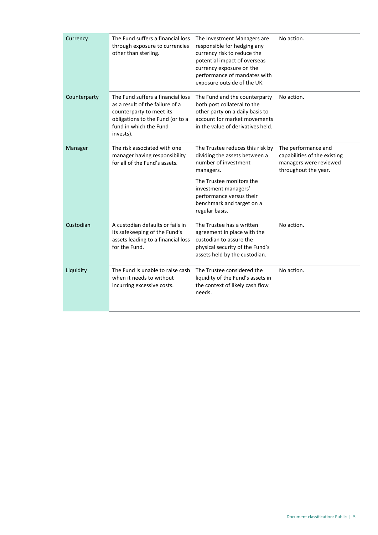| Currency     | The Fund suffers a financial loss<br>through exposure to currencies<br>other than sterling.                                                                                 | The Investment Managers are<br>responsible for hedging any<br>currency risk to reduce the<br>potential impact of overseas<br>currency exposure on the<br>performance of mandates with<br>exposure outside of the UK.                  | No action.                                                                                            |
|--------------|-----------------------------------------------------------------------------------------------------------------------------------------------------------------------------|---------------------------------------------------------------------------------------------------------------------------------------------------------------------------------------------------------------------------------------|-------------------------------------------------------------------------------------------------------|
| Counterparty | The Fund suffers a financial loss<br>as a result of the failure of a<br>counterparty to meet its<br>obligations to the Fund (or to a<br>fund in which the Fund<br>invests). | The Fund and the counterparty<br>both post collateral to the<br>other party on a daily basis to<br>account for market movements<br>in the value of derivatives held.                                                                  | No action.                                                                                            |
| Manager      | The risk associated with one<br>manager having responsibility<br>for all of the Fund's assets.                                                                              | The Trustee reduces this risk by<br>dividing the assets between a<br>number of investment<br>managers.<br>The Trustee monitors the<br>investment managers'<br>performance versus their<br>benchmark and target on a<br>regular basis. | The performance and<br>capabilities of the existing<br>managers were reviewed<br>throughout the year. |
| Custodian    | A custodian defaults or fails in<br>its safekeeping of the Fund's<br>assets leading to a financial loss<br>for the Fund.                                                    | The Trustee has a written<br>agreement in place with the<br>custodian to assure the<br>physical security of the Fund's<br>assets held by the custodian.                                                                               | No action.                                                                                            |
| Liquidity    | The Fund is unable to raise cash<br>when it needs to without<br>incurring excessive costs.                                                                                  | The Trustee considered the<br>liquidity of the Fund's assets in<br>the context of likely cash flow<br>needs.                                                                                                                          | No action.                                                                                            |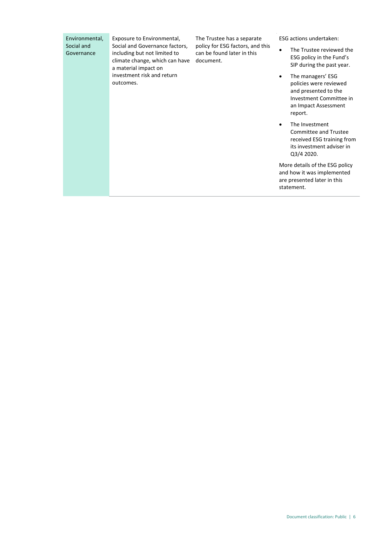| Environmental,<br>Social and<br>Governance<br>outcomes. | Exposure to Environmental,<br>Social and Governance factors,<br>including but not limited to<br>climate change, which can have<br>a material impact on | The Trustee has a separate<br>policy for ESG factors, and this<br>can be found later in this<br>document. | <b>ESG</b> actions undertaken:                                                                                                    |
|---------------------------------------------------------|--------------------------------------------------------------------------------------------------------------------------------------------------------|-----------------------------------------------------------------------------------------------------------|-----------------------------------------------------------------------------------------------------------------------------------|
|                                                         |                                                                                                                                                        |                                                                                                           | The Trustee reviewed the<br>ESG policy in the Fund's<br>SIP during the past year.                                                 |
|                                                         | investment risk and return                                                                                                                             |                                                                                                           | The managers' ESG<br>policies were reviewed<br>and presented to the<br>Investment Committee in<br>an Impact Assessment<br>report. |
|                                                         |                                                                                                                                                        |                                                                                                           | The Investment<br>Committee and Trustee<br>received ESG training from<br>its investment adviser in<br>Q3/4 2020.                  |
|                                                         |                                                                                                                                                        |                                                                                                           | More details of the ESG policy<br>and how it was implemented<br>are presented later in this<br>statement.                         |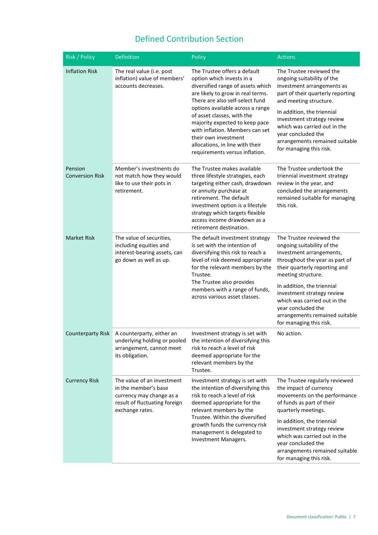## Defined Contribution Section

| Risk / Policy                     | Definition                                                                                                                         | Policy                                                                                                                                                                                                                                                                                                                                                                                                     | <b>Actions</b>                                                                                                                                                                                                                                                                                                                     |
|-----------------------------------|------------------------------------------------------------------------------------------------------------------------------------|------------------------------------------------------------------------------------------------------------------------------------------------------------------------------------------------------------------------------------------------------------------------------------------------------------------------------------------------------------------------------------------------------------|------------------------------------------------------------------------------------------------------------------------------------------------------------------------------------------------------------------------------------------------------------------------------------------------------------------------------------|
| <b>Inflation Risk</b>             | The real value (i.e. post<br>inflation) value of members'<br>accounts decreases.                                                   | The Trustee offers a default<br>option which invests in a<br>diversified range of assets which<br>are likely to grow in real terms.<br>There are also self-select fund<br>options available across a range<br>of asset classes, with the<br>majority expected to keep pace<br>with inflation. Members can set<br>their own investment<br>allocations, in line with their<br>requirements versus inflation. | The Trustee reviewed the<br>ongoing suitability of the<br>investment arrangements as<br>part of their quarterly reporting<br>and meeting structure.<br>In addition, the triennial<br>investment strategy review<br>which was carried out in the<br>year concluded the<br>arrangements remained suitable<br>for managing this risk. |
| Pension<br><b>Conversion Risk</b> | Member's investments do<br>not match how they would<br>like to use their pots in<br>retirement.                                    | The Trustee makes available<br>three lifestyle strategies, each<br>targeting either cash, drawdown<br>or annuity purchase at<br>retirement. The default<br>investment option is a lifestyle<br>strategy which targets flexible<br>access income drawdown as a<br>retirement destination.                                                                                                                   | The Trustee undertook the<br>triennial investment strategy<br>review in the year, and<br>concluded the arrangements<br>remained suitable for managing<br>this risk.                                                                                                                                                                |
| <b>Market Risk</b>                | The value of securities,<br>including equities and<br>interest-bearing assets, can<br>go down as well as up.                       | The default investment strategy<br>is set with the intention of<br>diversifying this risk to reach a<br>level of risk deemed appropriate<br>for the relevant members by the<br>Trustee.<br>The Trustee also provides<br>members with a range of funds,<br>across various asset classes.                                                                                                                    | The Trustee reviewed the<br>ongoing suitability of the<br>investment arrangements,<br>throughout the year as part of<br>their quarterly reporting and<br>meeting structure.<br>In addition, the triennial<br>investment strategy review<br>which was carried out in the<br>year concluded the<br>arrangements remained suitable    |
|                                   | Counterparty Risk   A counterparty, either an<br>underlying holding or pooled<br>arrangement, cannot meet<br>its obligation.       | Investment strategy is set with<br>the intention of diversifying this<br>risk to reach a level of risk<br>deemed appropriate for the<br>relevant members by the<br>Trustee.                                                                                                                                                                                                                                | for managing this risk.<br>No action.                                                                                                                                                                                                                                                                                              |
| <b>Currency Risk</b>              | The value of an investment<br>in the member's base<br>currency may change as a<br>result of fluctuating foreign<br>exchange rates. | Investment strategy is set with<br>the intention of diversifying this<br>risk to reach a level of risk<br>deemed appropriate for the<br>relevant members by the<br>Trustee. Within the diversified<br>growth funds the currency risk<br>management is delegated to<br>Investment Managers.                                                                                                                 | The Trustee regularly reviewed<br>the impact of currency<br>movements on the performance<br>of funds as part of their<br>quarterly meetings.<br>In addition, the triennial<br>investment strategy review<br>which was carried out in the<br>year concluded the<br>arrangements remained suitable<br>for managing this risk.        |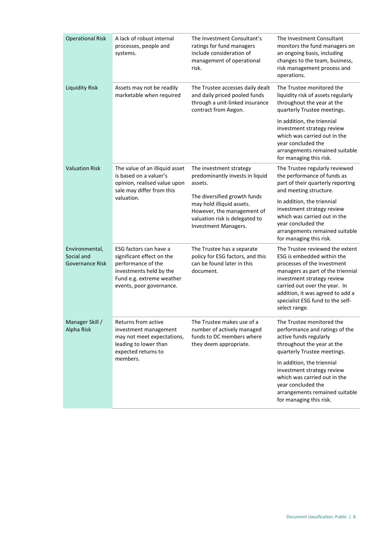| <b>Operational Risk</b>                                | A lack of robust internal<br>processes, people and<br>systems.                                                                                                | The Investment Consultant's<br>ratings for fund managers<br>include consideration of<br>management of operational<br>risk.                        | The Investment Consultant<br>monitors the fund managers on<br>an ongoing basis, including<br>changes to the team, business,<br>risk management process and<br>operations.                                                                                                                 |  |  |
|--------------------------------------------------------|---------------------------------------------------------------------------------------------------------------------------------------------------------------|---------------------------------------------------------------------------------------------------------------------------------------------------|-------------------------------------------------------------------------------------------------------------------------------------------------------------------------------------------------------------------------------------------------------------------------------------------|--|--|
| <b>Liquidity Risk</b>                                  | Assets may not be readily<br>marketable when required                                                                                                         | The Trustee accesses daily dealt<br>and daily priced pooled funds<br>through a unit-linked insurance<br>contract from Aegon.                      | The Trustee monitored the<br>liquidity risk of assets regularly<br>throughout the year at the<br>quarterly Trustee meetings.                                                                                                                                                              |  |  |
|                                                        |                                                                                                                                                               |                                                                                                                                                   | In addition, the triennial<br>investment strategy review<br>which was carried out in the<br>year concluded the<br>arrangements remained suitable<br>for managing this risk.                                                                                                               |  |  |
| <b>Valuation Risk</b>                                  | The value of an illiquid asset<br>is based on a valuer's<br>opinion, realised value upon<br>sale may differ from this                                         | The investment strategy<br>predominantly invests in liquid<br>assets.                                                                             | The Trustee regularly reviewed<br>the performance of funds as<br>part of their quarterly reporting<br>and meeting structure.                                                                                                                                                              |  |  |
|                                                        | valuation.                                                                                                                                                    | The diversified growth funds<br>may hold illiquid assets.<br>However, the management of<br>valuation risk is delegated to<br>Investment Managers. | In addition, the triennial<br>investment strategy review<br>which was carried out in the<br>year concluded the<br>arrangements remained suitable<br>for managing this risk.                                                                                                               |  |  |
| Environmental,<br>Social and<br><b>Governance Risk</b> | ESG factors can have a<br>significant effect on the<br>performance of the<br>investments held by the<br>Fund e.g. extreme weather<br>events, poor governance. | The Trustee has a separate<br>policy for ESG factors, and this<br>can be found later in this<br>document.                                         | The Trustee reviewed the extent<br>ESG is embedded within the<br>processes of the investment<br>managers as part of the triennial<br>investment strategy review<br>carried out over the year. In<br>addition, it was agreed to add a<br>specialist ESG fund to the self-<br>select range. |  |  |
| Manager Skill /<br>Alpha Risk                          | Returns from active<br>investment management<br>may not meet expectations,<br>leading to lower than<br>expected returns to                                    | The Trustee makes use of a<br>number of actively managed<br>funds to DC members where<br>they deem appropriate.                                   | The Trustee monitored the<br>performance and ratings of the<br>active funds regularly<br>throughout the year at the<br>quarterly Trustee meetings.                                                                                                                                        |  |  |
|                                                        | members.                                                                                                                                                      |                                                                                                                                                   | In addition, the triennial<br>investment strategy review<br>which was carried out in the<br>year concluded the<br>arrangements remained suitable<br>for managing this risk.                                                                                                               |  |  |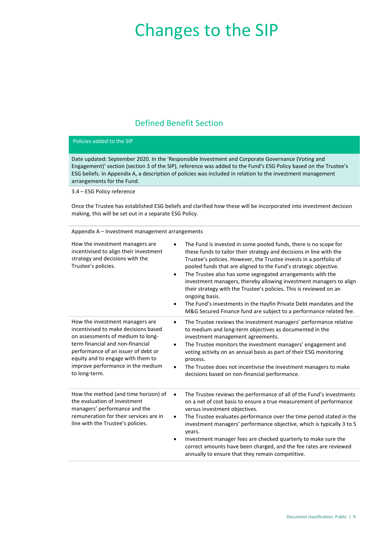# Changes to the SIP

## Defined Benefit Section

#### Policies added to the SIP

Date updated: September 2020. In the 'Responsible Investment and Corporate Governance (Voting and Engagement)' section (section 3 of the SIP), reference was added to the Fund's ESG Policy based on the Trustee's ESG beliefs. In Appendix A, a description of policies was included in relation to the investment management arrangements for the Fund.

3.4 – ESG Policy reference

Once the Trustee has established ESG beliefs and clarified how these will be incorporated into investment decision making, this will be set out in a separate ESG Policy.

|                                                                                                                                                                                                                                                                                    | Appendix A - Investment management arrangements                                                                                                                                                                                                                                                                                                                                                                                                                                                                                                                                                                                                                                     |  |  |  |  |  |
|------------------------------------------------------------------------------------------------------------------------------------------------------------------------------------------------------------------------------------------------------------------------------------|-------------------------------------------------------------------------------------------------------------------------------------------------------------------------------------------------------------------------------------------------------------------------------------------------------------------------------------------------------------------------------------------------------------------------------------------------------------------------------------------------------------------------------------------------------------------------------------------------------------------------------------------------------------------------------------|--|--|--|--|--|
| How the investment managers are<br>incentivised to align their investment<br>strategy and decisions with the<br>Trustee's policies.                                                                                                                                                | The Fund is invested in some pooled funds, there is no scope for<br>these funds to tailor their strategy and decisions in line with the<br>Trustee's policies. However, the Trustee invests in a portfolio of<br>pooled funds that are aligned to the Fund's strategic objective.<br>The Trustee also has some segregated arrangements with the<br>$\bullet$<br>investment managers, thereby allowing investment managers to align<br>their strategy with the Trustee's policies. This is reviewed on an<br>ongoing basis.<br>The Fund's investments in the Hayfin Private Debt mandates and the<br>$\bullet$<br>M&G Secured Finance fund are subject to a performance related fee. |  |  |  |  |  |
| How the investment managers are<br>incentivised to make decisions based<br>on assessments of medium to long-<br>term financial and non-financial<br>performance of an issuer of debt or<br>equity and to engage with them to<br>improve performance in the medium<br>to long-term. | The Trustee reviews the investment managers' performance relative<br>$\bullet$<br>to medium and long-term objectives as documented in the<br>investment management agreements.<br>The Trustee monitors the investment managers' engagement and<br>٠<br>voting activity on an annual basis as part of their ESG monitoring<br>process.<br>The Trustee does not incentivise the investment managers to make<br>$\bullet$<br>decisions based on non-financial performance.                                                                                                                                                                                                             |  |  |  |  |  |
| How the method (and time horizon) of<br>the evaluation of investment<br>managers' performance and the<br>remuneration for their services are in<br>line with the Trustee's policies.                                                                                               | The Trustee reviews the performance of all of the Fund's investments<br>$\bullet$<br>on a net of cost basis to ensure a true measurement of performance<br>versus investment objectives.<br>The Trustee evaluates performance over the time period stated in the<br>$\bullet$<br>investment managers' performance objective, which is typically 3 to 5<br>years.<br>Investment manager fees are checked quarterly to make sure the<br>$\bullet$<br>correct amounts have been charged, and the fee rates are reviewed<br>annually to ensure that they remain competitive.                                                                                                            |  |  |  |  |  |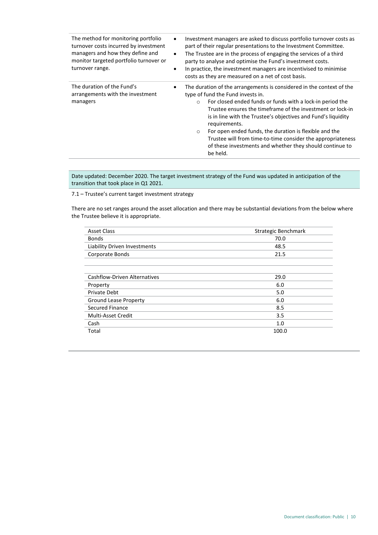| The method for monitoring portfolio<br>turnover costs incurred by investment<br>managers and how they define and<br>monitor targeted portfolio turnover or<br>turnover range. | Investment managers are asked to discuss portfolio turnover costs as<br>part of their regular presentations to the Investment Committee.<br>The Trustee are in the process of engaging the services of a third<br>party to analyse and optimise the Fund's investment costs.<br>In practice, the investment managers are incentivised to minimise<br>costs as they are measured on a net of cost basis.                                                                                                                                            |  |  |  |
|-------------------------------------------------------------------------------------------------------------------------------------------------------------------------------|----------------------------------------------------------------------------------------------------------------------------------------------------------------------------------------------------------------------------------------------------------------------------------------------------------------------------------------------------------------------------------------------------------------------------------------------------------------------------------------------------------------------------------------------------|--|--|--|
| The duration of the Fund's<br>arrangements with the investment<br>managers                                                                                                    | The duration of the arrangements is considered in the context of the<br>٠<br>type of fund the Fund invests in.<br>For closed ended funds or funds with a lock-in period the<br>$\circ$<br>Trustee ensures the timeframe of the investment or lock-in<br>is in line with the Trustee's objectives and Fund's liquidity<br>requirements.<br>For open ended funds, the duration is flexible and the<br>$\circ$<br>Trustee will from time-to-time consider the appropriateness<br>of these investments and whether they should continue to<br>be held. |  |  |  |

Date updated: December 2020. The target investment strategy of the Fund was updated in anticipation of the transition that took place in Q1 2021.

7.1 – Trustee's current target investment strategy

There are no set ranges around the asset allocation and there may be substantial deviations from the below where the Trustee believe it is appropriate.

| <b>Asset Class</b>                  | Strategic Benchmark |
|-------------------------------------|---------------------|
| <b>Bonds</b>                        | 70.0                |
| Liability Driven Investments        | 48.5                |
| Corporate Bonds                     | 21.5                |
|                                     |                     |
|                                     |                     |
| <b>Cashflow-Driven Alternatives</b> | 29.0                |
| Property                            | 6.0                 |
| <b>Private Debt</b>                 | 5.0                 |
| <b>Ground Lease Property</b>        | 6.0                 |
| Secured Finance                     | 8.5                 |
| Multi-Asset Credit                  | 3.5                 |
| Cash                                | 1.0                 |
| Total                               | 100.0               |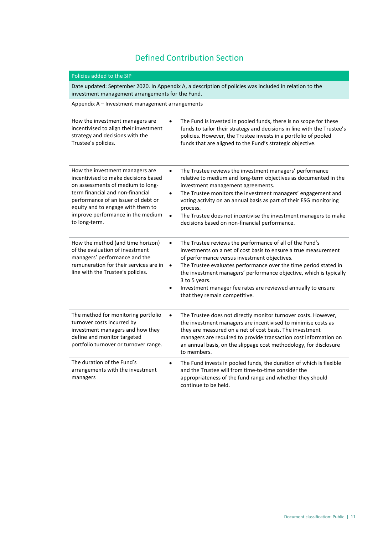## Defined Contribution Section

#### Policies added to the SIP

Date updated: September 2020. In Appendix A, a description of policies was included in relation to the investment management arrangements for the Fund.

Appendix A – Investment management arrangements

| How the investment managers are<br>incentivised to align their investment<br>strategy and decisions with the<br>Trustee's policies.                                                                                                                                                | The Fund is invested in pooled funds, there is no scope for these<br>funds to tailor their strategy and decisions in line with the Trustee's<br>policies. However, the Trustee invests in a portfolio of pooled<br>funds that are aligned to the Fund's strategic objective.                                                                                                                                                                                            |
|------------------------------------------------------------------------------------------------------------------------------------------------------------------------------------------------------------------------------------------------------------------------------------|-------------------------------------------------------------------------------------------------------------------------------------------------------------------------------------------------------------------------------------------------------------------------------------------------------------------------------------------------------------------------------------------------------------------------------------------------------------------------|
| How the investment managers are<br>incentivised to make decisions based<br>on assessments of medium to long-<br>term financial and non-financial<br>performance of an issuer of debt or<br>equity and to engage with them to<br>improve performance in the medium<br>to long-term. | The Trustee reviews the investment managers' performance<br>٠<br>relative to medium and long-term objectives as documented in the<br>investment management agreements.<br>The Trustee monitors the investment managers' engagement and<br>$\bullet$<br>voting activity on an annual basis as part of their ESG monitoring<br>process.<br>The Trustee does not incentivise the investment managers to make<br>$\bullet$<br>decisions based on non-financial performance. |
| How the method (and time horizon)<br>of the evaluation of investment<br>managers' performance and the<br>remuneration for their services are in<br>line with the Trustee's policies.                                                                                               | The Trustee reviews the performance of all of the Fund's<br>$\bullet$<br>investments on a net of cost basis to ensure a true measurement<br>of performance versus investment objectives.<br>The Trustee evaluates performance over the time period stated in<br>$\bullet$<br>the investment managers' performance objective, which is typically<br>3 to 5 years.<br>Investment manager fee rates are reviewed annually to ensure<br>٠<br>that they remain competitive.  |
| The method for monitoring portfolio<br>turnover costs incurred by<br>investment managers and how they<br>define and monitor targeted<br>portfolio turnover or turnover range.                                                                                                      | The Trustee does not directly monitor turnover costs. However,<br>$\bullet$<br>the investment managers are incentivised to minimise costs as<br>they are measured on a net of cost basis. The investment<br>managers are required to provide transaction cost information on<br>an annual basis, on the slippage cost methodology, for disclosure<br>to members.                                                                                                        |
| The duration of the Fund's<br>arrangements with the investment<br>managers                                                                                                                                                                                                         | The Fund invests in pooled funds, the duration of which is flexible<br>$\bullet$<br>and the Trustee will from time-to-time consider the<br>appropriateness of the fund range and whether they should<br>continue to be held.                                                                                                                                                                                                                                            |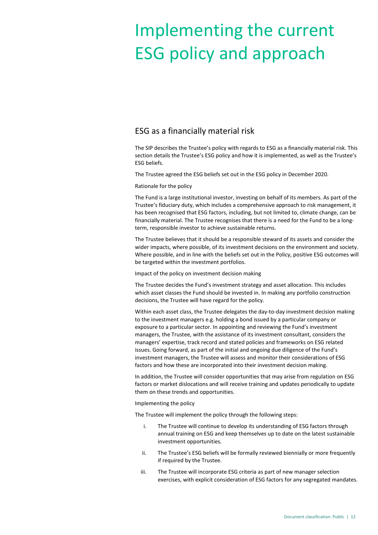# Implementing the current ESG policy and approach

## ESG as a financially material risk

The SIP describes the Trustee's policy with regards to ESG as a financially material risk. This section details the Trustee's ESG policy and how it is implemented, as well as the Trustee's ESG beliefs.

The Trustee agreed the ESG beliefs set out in the ESG policy in December 2020.

Rationale for the policy

The Fund is a large institutional investor, investing on behalf of its members. As part of the Trustee's fiduciary duty, which includes a comprehensive approach to risk management, it has been recognised that ESG factors, including, but not limited to, climate change, can be financially material. The Trustee recognises that there is a need for the Fund to be a longterm, responsible investor to achieve sustainable returns.

The Trustee believes that it should be a responsible steward of its assets and consider the wider impacts, where possible, of its investment decisions on the environment and society. Where possible, and in line with the beliefs set out in the Policy, positive ESG outcomes will be targeted within the investment portfolios.

Impact of the policy on investment decision making

The Trustee decides the Fund's investment strategy and asset allocation. This includes which asset classes the Fund should be invested in. In making any portfolio construction decisions, the Trustee will have regard for the policy.

Within each asset class, the Trustee delegates the day-to-day investment decision making to the investment managers e.g. holding a bond issued by a particular company or exposure to a particular sector. In appointing and reviewing the Fund's investment managers, the Trustee, with the assistance of its investment consultant, considers the managers' expertise, track record and stated policies and frameworks on ESG related issues. Going forward, as part of the initial and ongoing due diligence of the Fund's investment managers, the Trustee will assess and monitor their considerations of ESG factors and how these are incorporated into their investment decision making.

In addition, the Trustee will consider opportunities that may arise from regulation on ESG factors or market dislocations and will receive training and updates periodically to update them on these trends and opportunities.

Implementing the policy

The Trustee will implement the policy through the following steps:

- i. The Trustee will continue to develop its understanding of ESG factors through annual training on ESG and keep themselves up to date on the latest sustainable investment opportunities.
- ii. The Trustee's ESG beliefs will be formally reviewed biennially or more frequently if required by the Trustee.
- iii. The Trustee will incorporate ESG criteria as part of new manager selection exercises, with explicit consideration of ESG factors for any segregated mandates.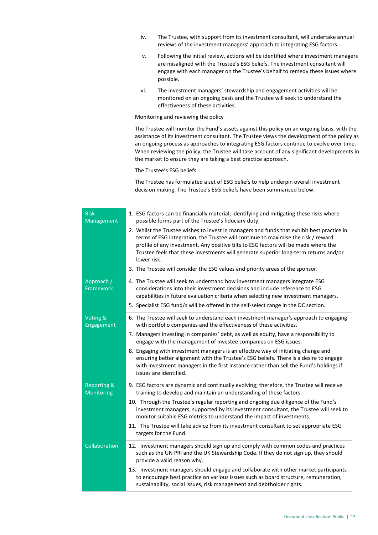- iv. The Trustee, with support from its investment consultant, will undertake annual reviews of the investment managers' approach to integrating ESG factors.
- v. Following the initial review, actions will be identified where investment managers are misaligned with the Trustee's ESG beliefs. The investment consultant will engage with each manager on the Trustee's behalf to remedy these issues where possible.
- vi. The investment managers' stewardship and engagement activities will be monitored on an ongoing basis and the Trustee will seek to understand the effectiveness of these activities.

Monitoring and reviewing the policy

The Trustee will monitor the Fund's assets against this policy on an ongoing basis, with the assistance of its investment consultant. The Trustee views the development of the policy as an ongoing process as approaches to integrating ESG factors continue to evolve over time. When reviewing the policy, the Trustee will take account of any significant developments in the market to ensure they are taking a best practice approach.

The Trustee's ESG beliefs

The Trustee has formulated a set of ESG beliefs to help underpin overall investment decision making. The Trustee's ESG beliefs have been summarised below.

| <b>Risk</b><br><b>Management</b>     | 1. ESG factors can be financially material; identifying and mitigating these risks where<br>possible forms part of the Trustee's fiduciary duty.                                                                                                                                                                                                                              |
|--------------------------------------|-------------------------------------------------------------------------------------------------------------------------------------------------------------------------------------------------------------------------------------------------------------------------------------------------------------------------------------------------------------------------------|
|                                      | 2. Whilst the Trustee wishes to invest in managers and funds that exhibit best practice in<br>terms of ESG integration, the Trustee will continue to maximise the risk / reward<br>profile of any investment. Any positive tilts to ESG factors will be made where the<br>Trustee feels that these investments will generate superior long-term returns and/or<br>lower risk. |
|                                      | 3. The Trustee will consider the ESG values and priority areas of the sponsor.                                                                                                                                                                                                                                                                                                |
| Approach /<br>Framework              | 4. The Trustee will seek to understand how investment managers integrate ESG<br>considerations into their investment decisions and include reference to ESG<br>capabilities in future evaluation criteria when selecting new investment managers.<br>5. Specialist ESG fund/s will be offered in the self-select range in the DC section.                                     |
| Voting &<br>Engagement               | 6. The Trustee will seek to understand each investment manager's approach to engaging<br>with portfolio companies and the effectiveness of these activities.                                                                                                                                                                                                                  |
|                                      | 7. Managers investing in companies' debt, as well as equity, have a responsibility to<br>engage with the management of investee companies on ESG issues.                                                                                                                                                                                                                      |
|                                      | 8. Engaging with investment managers is an effective way of initiating change and<br>ensuring better alignment with the Trustee's ESG beliefs. There is a desire to engage<br>with investment managers in the first instance rather than sell the Fund's holdings if<br>issues are identified.                                                                                |
| <b>Reporting &amp;</b><br>Monitoring | 9. ESG factors are dynamic and continually evolving; therefore, the Trustee will receive<br>training to develop and maintain an understanding of these factors.                                                                                                                                                                                                               |
|                                      | 10. Through the Trustee's regular reporting and ongoing due diligence of the Fund's<br>investment managers, supported by its investment consultant, the Trustee will seek to<br>monitor suitable ESG metrics to understand the impact of investments.                                                                                                                         |
|                                      | 11. The Trustee will take advice from its investment consultant to set appropriate ESG<br>targets for the Fund.                                                                                                                                                                                                                                                               |
| Collaboration                        | 12. Investment managers should sign up and comply with common codes and practices<br>such as the UN PRI and the UK Stewardship Code. If they do not sign up, they should<br>provide a valid reason why.                                                                                                                                                                       |
|                                      | 13. Investment managers should engage and collaborate with other market participants<br>to encourage best practice on various issues such as board structure, remuneration,<br>sustainability, social issues, risk management and debtholder rights.                                                                                                                          |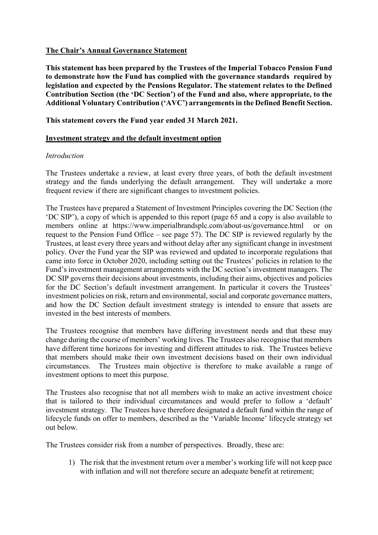## **The Chair's Annual Governance Statement**

**This statement has been prepared by the Trustees of the Imperial Tobacco Pension Fund to demonstrate how the Fund has complied with the governance standards required by legislation and expected by the Pensions Regulator. The statement relates to the Defined Contribution Section (the 'DC Section') of the Fund and also, where appropriate, to the Additional Voluntary Contribution ('AVC') arrangements in the Defined Benefit Section.**

## **This statement covers the Fund year ended 31 March 2021.**

### **Investment strategy and the default investment option**

### *Introduction*

The Trustees undertake a review, at least every three years, of both the default investment strategy and the funds underlying the default arrangement. They will undertake a more frequent review if there are significant changes to investment policies.

The Trustees have prepared a Statement of Investment Principles covering the DC Section (the 'DC SIP'), a copy of which is appended to this report (page 65 and a copy is also available to members online at https://www.imperialbrandsplc.com/about-us/governance.html or on request to the Pension Fund Office – see page 57). The DC SIP is reviewed regularly by the Trustees, at least every three years and without delay after any significant change in investment policy. Over the Fund year the SIP was reviewed and updated to incorporate regulations that came into force in October 2020, including setting out the Trustees' policies in relation to the Fund's investment management arrangements with the DC section's investment managers. The DC SIP governs their decisions about investments, including their aims, objectives and policies for the DC Section's default investment arrangement. In particular it covers the Trustees' investment policies on risk, return and environmental, social and corporate governance matters, and how the DC Section default investment strategy is intended to ensure that assets are invested in the best interests of members.

The Trustees recognise that members have differing investment needs and that these may change during the course of members' working lives. The Trustees also recognise that members have different time horizons for investing and different attitudes to risk. The Trustees believe that members should make their own investment decisions based on their own individual circumstances. The Trustees main objective is therefore to make available a range of investment options to meet this purpose.

The Trustees also recognise that not all members wish to make an active investment choice that is tailored to their individual circumstances and would prefer to follow a 'default' investment strategy. The Trustees have therefore designated a default fund within the range of lifecycle funds on offer to members, described as the 'Variable Income' lifecycle strategy set out below.

The Trustees consider risk from a number of perspectives. Broadly, these are:

1) The risk that the investment return over a member's working life will not keep pace with inflation and will not therefore secure an adequate benefit at retirement;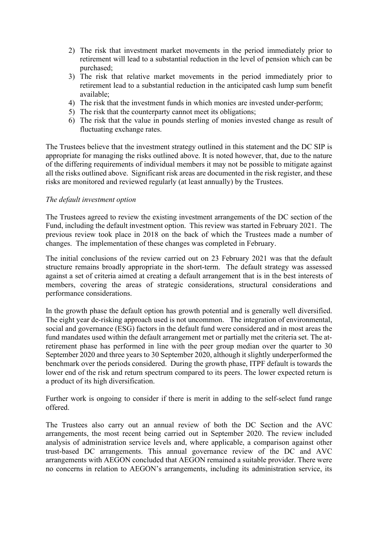- 2) The risk that investment market movements in the period immediately prior to retirement will lead to a substantial reduction in the level of pension which can be purchased;
- 3) The risk that relative market movements in the period immediately prior to retirement lead to a substantial reduction in the anticipated cash lump sum benefit available;
- 4) The risk that the investment funds in which monies are invested under-perform;
- 5) The risk that the counterparty cannot meet its obligations;
- 6) The risk that the value in pounds sterling of monies invested change as result of fluctuating exchange rates.

The Trustees believe that the investment strategy outlined in this statement and the DC SIP is appropriate for managing the risks outlined above. It is noted however, that, due to the nature of the differing requirements of individual members it may not be possible to mitigate against all the risks outlined above. Significant risk areas are documented in the risk register, and these risks are monitored and reviewed regularly (at least annually) by the Trustees.

## *The default investment option*

The Trustees agreed to review the existing investment arrangements of the DC section of the Fund, including the default investment option. This review was started in February 2021. The previous review took place in 2018 on the back of which the Trustees made a number of changes. The implementation of these changes was completed in February.

The initial conclusions of the review carried out on 23 February 2021 was that the default structure remains broadly appropriate in the short-term. The default strategy was assessed against a set of criteria aimed at creating a default arrangement that is in the best interests of members, covering the areas of strategic considerations, structural considerations and performance considerations.

In the growth phase the default option has growth potential and is generally well diversified. The eight year de-risking approach used is not uncommon. The integration of environmental, social and governance (ESG) factors in the default fund were considered and in most areas the fund mandates used within the default arrangement met or partially met the criteria set. The atretirement phase has performed in line with the peer group median over the quarter to 30 September 2020 and three years to 30 September 2020, although it slightly underperformed the benchmark over the periods considered. During the growth phase, ITPF default is towards the lower end of the risk and return spectrum compared to its peers. The lower expected return is a product of its high diversification.

Further work is ongoing to consider if there is merit in adding to the self-select fund range offered.

The Trustees also carry out an annual review of both the DC Section and the AVC arrangements, the most recent being carried out in September 2020. The review included analysis of administration service levels and, where applicable, a comparison against other trust-based DC arrangements. This annual governance review of the DC and AVC arrangements with AEGON concluded that AEGON remained a suitable provider. There were no concerns in relation to AEGON's arrangements, including its administration service, its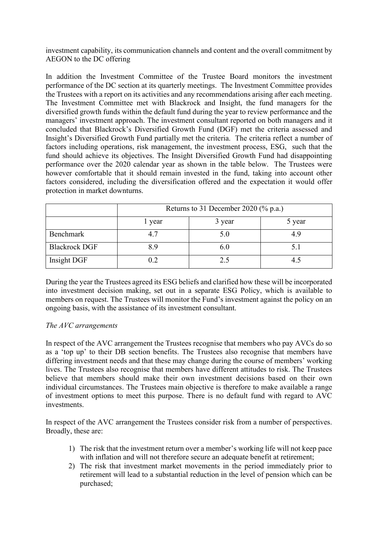investment capability, its communication channels and content and the overall commitment by AEGON to the DC offering

In addition the Investment Committee of the Trustee Board monitors the investment performance of the DC section at its quarterly meetings. The Investment Committee provides the Trustees with a report on its activities and any recommendations arising after each meeting. The Investment Committee met with Blackrock and Insight, the fund managers for the diversified growth funds within the default fund during the year to review performance and the managers' investment approach. The investment consultant reported on both managers and it concluded that Blackrock's Diversified Growth Fund (DGF) met the criteria assessed and Insight's Diversified Growth Fund partially met the criteria. The criteria reflect a number of factors including operations, risk management, the investment process, ESG, such that the fund should achieve its objectives. The Insight Diversified Growth Fund had disappointing performance over the 2020 calendar year as shown in the table below. The Trustees were however comfortable that it should remain invested in the fund, taking into account other factors considered, including the diversification offered and the expectation it would offer protection in market downturns.

|                      | Returns to 31 December 2020 (% p.a.) |     |  |  |  |  |  |
|----------------------|--------------------------------------|-----|--|--|--|--|--|
|                      | 3 year<br>5 year<br>1 year           |     |  |  |  |  |  |
| Benchmark            | 4.7                                  | 5.0 |  |  |  |  |  |
| <b>Blackrock DGF</b> | 8.9                                  | 6.0 |  |  |  |  |  |
| Insight DGF          | 0.2                                  | 2.5 |  |  |  |  |  |

During the year the Trustees agreed its ESG beliefs and clarified how these will be incorporated into investment decision making, set out in a separate ESG Policy, which is available to members on request. The Trustees will monitor the Fund's investment against the policy on an ongoing basis, with the assistance of its investment consultant.

### *The AVC arrangements*

In respect of the AVC arrangement the Trustees recognise that members who pay AVCs do so as a 'top up' to their DB section benefits. The Trustees also recognise that members have differing investment needs and that these may change during the course of members' working lives. The Trustees also recognise that members have different attitudes to risk. The Trustees believe that members should make their own investment decisions based on their own individual circumstances. The Trustees main objective is therefore to make available a range of investment options to meet this purpose. There is no default fund with regard to AVC investments.

In respect of the AVC arrangement the Trustees consider risk from a number of perspectives. Broadly, these are:

- 1) The risk that the investment return over a member's working life will not keep pace with inflation and will not therefore secure an adequate benefit at retirement;
- 2) The risk that investment market movements in the period immediately prior to retirement will lead to a substantial reduction in the level of pension which can be purchased;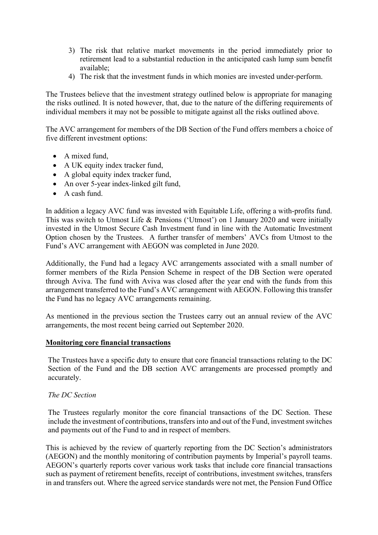- 3) The risk that relative market movements in the period immediately prior to retirement lead to a substantial reduction in the anticipated cash lump sum benefit available;
- 4) The risk that the investment funds in which monies are invested under-perform.

The Trustees believe that the investment strategy outlined below is appropriate for managing the risks outlined. It is noted however, that, due to the nature of the differing requirements of individual members it may not be possible to mitigate against all the risks outlined above.

The AVC arrangement for members of the DB Section of the Fund offers members a choice of five different investment options:

- A mixed fund,
- A UK equity index tracker fund,
- A global equity index tracker fund,
- An over 5-year index-linked gilt fund,
- A cash fund.

In addition a legacy AVC fund was invested with Equitable Life, offering a with-profits fund. This was switch to Utmost Life & Pensions ('Utmost') on 1 January 2020 and were initially invested in the Utmost Secure Cash Investment fund in line with the Automatic Investment Option chosen by the Trustees. A further transfer of members' AVCs from Utmost to the Fund's AVC arrangement with AEGON was completed in June 2020.

Additionally, the Fund had a legacy AVC arrangements associated with a small number of former members of the Rizla Pension Scheme in respect of the DB Section were operated through Aviva. The fund with Aviva was closed after the year end with the funds from this arrangement transferred to the Fund's AVC arrangement with AEGON. Following this transfer the Fund has no legacy AVC arrangements remaining.

As mentioned in the previous section the Trustees carry out an annual review of the AVC arrangements, the most recent being carried out September 2020.

### **Monitoring core financial transactions**

The Trustees have a specific duty to ensure that core financial transactions relating to the DC Section of the Fund and the DB section AVC arrangements are processed promptly and accurately.

#### *The DC Section*

The Trustees regularly monitor the core financial transactions of the DC Section. These include the investment of contributions, transfers into and out of the Fund, investment switches and payments out of the Fund to and in respect of members.

This is achieved by the review of quarterly reporting from the DC Section's administrators (AEGON) and the monthly monitoring of contribution payments by Imperial's payroll teams. AEGON's quarterly reports cover various work tasks that include core financial transactions such as payment of retirement benefits, receipt of contributions, investment switches, transfers in and transfers out. Where the agreed service standards were not met, the Pension Fund Office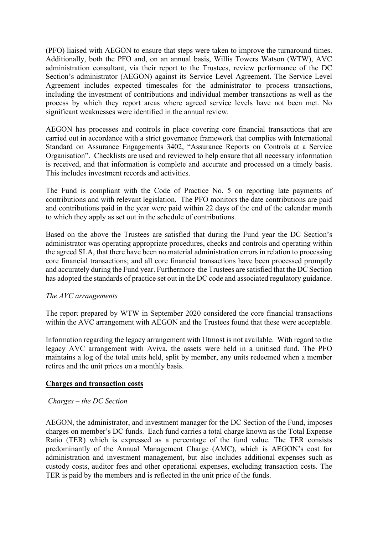(PFO) liaised with AEGON to ensure that steps were taken to improve the turnaround times. Additionally, both the PFO and, on an annual basis, Willis Towers Watson (WTW), AVC administration consultant, via their report to the Trustees, review performance of the DC Section's administrator (AEGON) against its Service Level Agreement. The Service Level Agreement includes expected timescales for the administrator to process transactions, including the investment of contributions and individual member transactions as well as the process by which they report areas where agreed service levels have not been met. No significant weaknesses were identified in the annual review.

AEGON has processes and controls in place covering core financial transactions that are carried out in accordance with a strict governance framework that complies with International Standard on Assurance Engagements 3402, "Assurance Reports on Controls at a Service Organisation". Checklists are used and reviewed to help ensure that all necessary information is received, and that information is complete and accurate and processed on a timely basis. This includes investment records and activities.

The Fund is compliant with the Code of Practice No. 5 on reporting late payments of contributions and with relevant legislation. The PFO monitors the date contributions are paid and contributions paid in the year were paid within 22 days of the end of the calendar month to which they apply as set out in the schedule of contributions.

Based on the above the Trustees are satisfied that during the Fund year the DC Section's administrator was operating appropriate procedures, checks and controls and operating within the agreed SLA, that there have been no material administration errors in relation to processing core financial transactions; and all core financial transactions have been processed promptly and accurately during the Fund year. Furthermore the Trustees are satisfied that the DC Section has adopted the standards of practice set out in the DC code and associated regulatory guidance.

### *The AVC arrangements*

The report prepared by WTW in September 2020 considered the core financial transactions within the AVC arrangement with AEGON and the Trustees found that these were acceptable.

Information regarding the legacy arrangement with Utmost is not available. With regard to the legacy AVC arrangement with Aviva, the assets were held in a unitised fund. The PFO maintains a log of the total units held, split by member, any units redeemed when a member retires and the unit prices on a monthly basis.

### **Charges and transaction costs**

## *Charges – the DC Section*

AEGON, the administrator, and investment manager for the DC Section of the Fund, imposes charges on member's DC funds. Each fund carries a total charge known as the Total Expense Ratio (TER) which is expressed as a percentage of the fund value. The TER consists predominantly of the Annual Management Charge (AMC), which is AEGON's cost for administration and investment management, but also includes additional expenses such as custody costs, auditor fees and other operational expenses, excluding transaction costs. The TER is paid by the members and is reflected in the unit price of the funds.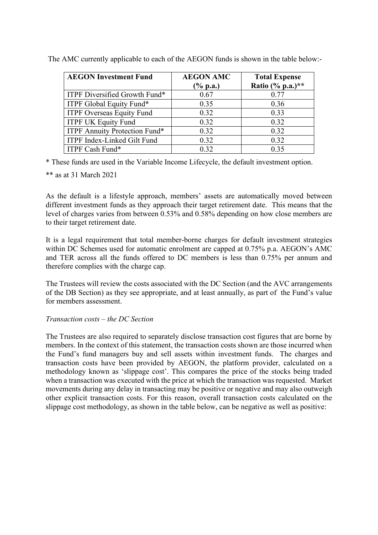| <b>AEGON Investment Fund</b>       | <b>AEGON AMC</b><br>$(\%$ p.a.) | <b>Total Expense</b><br>Ratio (% p.a.) ** |  |  |
|------------------------------------|---------------------------------|-------------------------------------------|--|--|
| ITPF Diversified Growth Fund*      | 0.67                            | 0.77                                      |  |  |
| ITPF Global Equity Fund*           | 0.35                            | 0.36                                      |  |  |
| <b>ITPF Overseas Equity Fund</b>   | 0.32                            | 0.33                                      |  |  |
| <b>ITPF UK Equity Fund</b>         | 0.32                            | 0.32                                      |  |  |
| ITPF Annuity Protection Fund*      | 0.32                            | 0.32                                      |  |  |
| <b>ITPF Index-Linked Gilt Fund</b> | 0.32                            | 0.32                                      |  |  |
| ITPF Cash Fund*                    | 0.32                            | 0.35                                      |  |  |

The AMC currently applicable to each of the AEGON funds is shown in the table below:-

\* These funds are used in the Variable Income Lifecycle, the default investment option.

\*\* as at 31 March 2021

As the default is a lifestyle approach, members' assets are automatically moved between different investment funds as they approach their target retirement date. This means that the level of charges varies from between 0.53% and 0.58% depending on how close members are to their target retirement date.

It is a legal requirement that total member-borne charges for default investment strategies within DC Schemes used for automatic enrolment are capped at 0.75% p.a. AEGON's AMC and TER across all the funds offered to DC members is less than 0.75% per annum and therefore complies with the charge cap.

The Trustees will review the costs associated with the DC Section (and the AVC arrangements of the DB Section) as they see appropriate, and at least annually, as part of the Fund's value for members assessment.

## *Transaction costs – the DC Section*

The Trustees are also required to separately disclose transaction cost figures that are borne by members. In the context of this statement, the transaction costs shown are those incurred when the Fund's fund managers buy and sell assets within investment funds. The charges and transaction costs have been provided by AEGON, the platform provider, calculated on a methodology known as 'slippage cost'. This compares the price of the stocks being traded when a transaction was executed with the price at which the transaction was requested. Market movements during any delay in transacting may be positive or negative and may also outweigh other explicit transaction costs. For this reason, overall transaction costs calculated on the slippage cost methodology, as shown in the table below, can be negative as well as positive: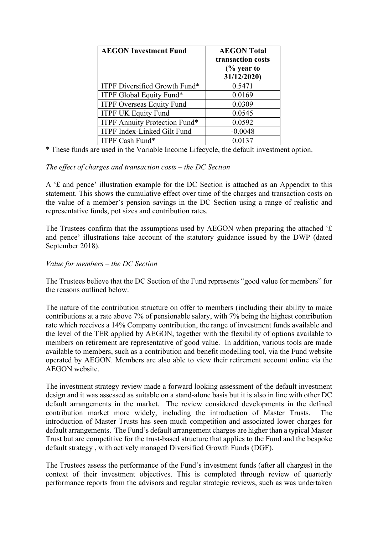| <b>AEGON Investment Fund</b>       | <b>AEGON Total</b><br>transaction costs<br>$\frac{6}{6}$ year to<br>31/12/2020) |
|------------------------------------|---------------------------------------------------------------------------------|
| ITPF Diversified Growth Fund*      | 0.5471                                                                          |
| ITPF Global Equity Fund*           | 0.0169                                                                          |
| <b>ITPF Overseas Equity Fund</b>   | 0.0309                                                                          |
| <b>ITPF UK Equity Fund</b>         | 0.0545                                                                          |
| ITPF Annuity Protection Fund*      | 0.0592                                                                          |
| <b>ITPF Index-Linked Gilt Fund</b> | $-0.0048$                                                                       |
| ITPF Cash Fund*                    | 0.0137                                                                          |

\* These funds are used in the Variable Income Lifecycle, the default investment option.

## *The effect of charges and transaction costs – the DC Section*

A '£ and pence' illustration example for the DC Section is attached as an Appendix to this statement. This shows the cumulative effect over time of the charges and transaction costs on the value of a member's pension savings in the DC Section using a range of realistic and representative funds, pot sizes and contribution rates.

The Trustees confirm that the assumptions used by AEGON when preparing the attached '£ and pence' illustrations take account of the statutory guidance issued by the DWP (dated September 2018).

## *Value for members – the DC Section*

The Trustees believe that the DC Section of the Fund represents "good value for members" for the reasons outlined below.

The nature of the contribution structure on offer to members (including their ability to make contributions at a rate above 7% of pensionable salary, with 7% being the highest contribution rate which receives a 14% Company contribution, the range of investment funds available and the level of the TER applied by AEGON, together with the flexibility of options available to members on retirement are representative of good value. In addition, various tools are made available to members, such as a contribution and benefit modelling tool, via the Fund website operated by AEGON. Members are also able to view their retirement account online via the AEGON website.

The investment strategy review made a forward looking assessment of the default investment design and it was assessed as suitable on a stand-alone basis but it is also in line with other DC default arrangements in the market. The review considered developments in the defined contribution market more widely, including the introduction of Master Trusts. The introduction of Master Trusts has seen much competition and associated lower charges for default arrangements. The Fund's default arrangement charges are higher than a typical Master Trust but are competitive for the trust-based structure that applies to the Fund and the bespoke default strategy , with actively managed Diversified Growth Funds (DGF).

The Trustees assess the performance of the Fund's investment funds (after all charges) in the context of their investment objectives. This is completed through review of quarterly performance reports from the advisors and regular strategic reviews, such as was undertaken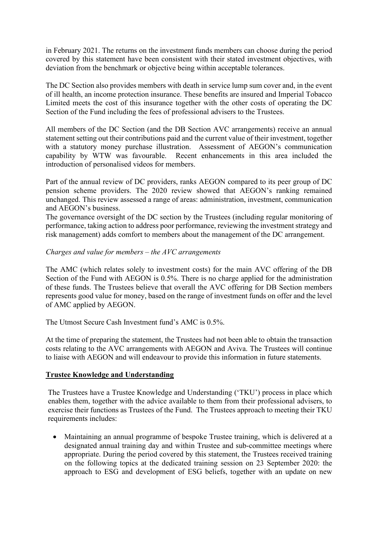in February 2021. The returns on the investment funds members can choose during the period covered by this statement have been consistent with their stated investment objectives, with deviation from the benchmark or objective being within acceptable tolerances.

The DC Section also provides members with death in service lump sum cover and, in the event of ill health, an income protection insurance. These benefits are insured and Imperial Tobacco Limited meets the cost of this insurance together with the other costs of operating the DC Section of the Fund including the fees of professional advisers to the Trustees.

All members of the DC Section (and the DB Section AVC arrangements) receive an annual statement setting out their contributions paid and the current value of their investment, together with a statutory money purchase illustration. Assessment of AEGON's communication capability by WTW was favourable. Recent enhancements in this area included the introduction of personalised videos for members.

Part of the annual review of DC providers, ranks AEGON compared to its peer group of DC pension scheme providers. The 2020 review showed that AEGON's ranking remained unchanged. This review assessed a range of areas: administration, investment, communication and AEGON's business.

The governance oversight of the DC section by the Trustees (including regular monitoring of performance, taking action to address poor performance, reviewing the investment strategy and risk management) adds comfort to members about the management of the DC arrangement.

## *Charges and value for members – the AVC arrangements*

The AMC (which relates solely to investment costs) for the main AVC offering of the DB Section of the Fund with AEGON is 0.5%. There is no charge applied for the administration of these funds. The Trustees believe that overall the AVC offering for DB Section members represents good value for money, based on the range of investment funds on offer and the level of AMC applied by AEGON.

The Utmost Secure Cash Investment fund's AMC is 0.5%.

At the time of preparing the statement, the Trustees had not been able to obtain the transaction costs relating to the AVC arrangements with AEGON and Aviva. The Trustees will continue to liaise with AEGON and will endeavour to provide this information in future statements.

## **Trustee Knowledge and Understanding**

The Trustees have a Trustee Knowledge and Understanding ('TKU') process in place which enables them, together with the advice available to them from their professional advisers, to exercise their functions as Trustees of the Fund. The Trustees approach to meeting their TKU requirements includes:

• Maintaining an annual programme of bespoke Trustee training, which is delivered at a designated annual training day and within Trustee and sub-committee meetings where appropriate. During the period covered by this statement, the Trustees received training on the following topics at the dedicated training session on 23 September 2020: the approach to ESG and development of ESG beliefs, together with an update on new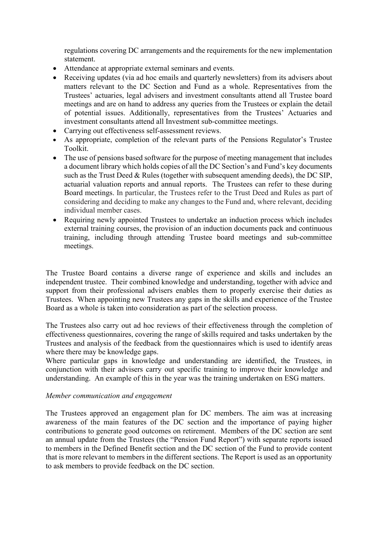regulations covering DC arrangements and the requirements for the new implementation statement.

- Attendance at appropriate external seminars and events.
- Receiving updates (via ad hoc emails and quarterly newsletters) from its advisers about matters relevant to the DC Section and Fund as a whole. Representatives from the Trustees' actuaries, legal advisers and investment consultants attend all Trustee board meetings and are on hand to address any queries from the Trustees or explain the detail of potential issues. Additionally, representatives from the Trustees' Actuaries and investment consultants attend all Investment sub-committee meetings.
- Carrying out effectiveness self-assessment reviews.
- As appropriate, completion of the relevant parts of the Pensions Regulator's Trustee Toolkit.
- The use of pensions based software for the purpose of meeting management that includes a document library which holds copies of all the DC Section's and Fund's key documents such as the Trust Deed & Rules (together with subsequent amending deeds), the DC SIP, actuarial valuation reports and annual reports. The Trustees can refer to these during Board meetings. In particular, the Trustees refer to the Trust Deed and Rules as part of considering and deciding to make any changes to the Fund and, where relevant, deciding individual member cases.
- Requiring newly appointed Trustees to undertake an induction process which includes external training courses, the provision of an induction documents pack and continuous training, including through attending Trustee board meetings and sub-committee meetings.

The Trustee Board contains a diverse range of experience and skills and includes an independent trustee. Their combined knowledge and understanding, together with advice and support from their professional advisers enables them to properly exercise their duties as Trustees. When appointing new Trustees any gaps in the skills and experience of the Trustee Board as a whole is taken into consideration as part of the selection process.

The Trustees also carry out ad hoc reviews of their effectiveness through the completion of effectiveness questionnaires, covering the range of skills required and tasks undertaken by the Trustees and analysis of the feedback from the questionnaires which is used to identify areas where there may be knowledge gaps.

Where particular gaps in knowledge and understanding are identified, the Trustees, in conjunction with their advisers carry out specific training to improve their knowledge and understanding. An example of this in the year was the training undertaken on ESG matters.

### *Member communication and engagement*

The Trustees approved an engagement plan for DC members. The aim was at increasing awareness of the main features of the DC section and the importance of paying higher contributions to generate good outcomes on retirement. Members of the DC section are sent an annual update from the Trustees (the "Pension Fund Report") with separate reports issued to members in the Defined Benefit section and the DC section of the Fund to provide content that is more relevant to members in the different sections. The Report is used as an opportunity to ask members to provide feedback on the DC section.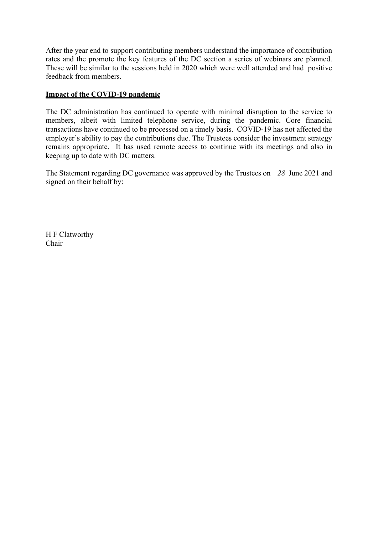After the year end to support contributing members understand the importance of contribution rates and the promote the key features of the DC section a series of webinars are planned. These will be similar to the sessions held in 2020 which were well attended and had positive feedback from members.

## **Impact of the COVID-19 pandemic**

The DC administration has continued to operate with minimal disruption to the service to members, albeit with limited telephone service, during the pandemic. Core financial transactions have continued to be processed on a timely basis. COVID-19 has not affected the employer's ability to pay the contributions due. The Trustees consider the investment strategy remains appropriate. It has used remote access to continue with its meetings and also in keeping up to date with DC matters.

The Statement regarding DC governance was approved by the Trustees on *28* June 2021 and signed on their behalf by:

H F Clatworthy Chair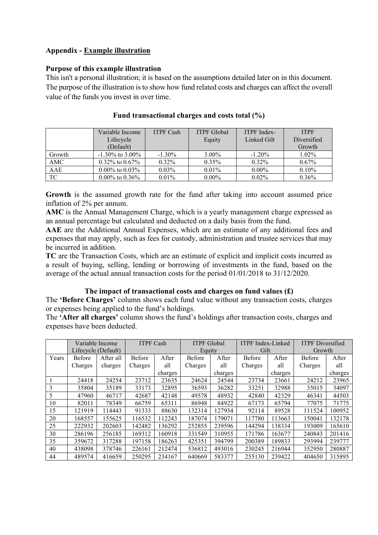## **Appendix - Example illustration**

## **Purpose of this example illustration**

This isn't a personal illustration; it is based on the assumptions detailed later on in this document. The purpose of the illustration is to show how fund related costs and charges can affect the overall value of the funds you invest in over time.

|        | Variable Income      | <b>ITPF Cash</b> | <b>ITPF Global</b> | <b>ITPF</b> Index- | <b>ITPF</b> |
|--------|----------------------|------------------|--------------------|--------------------|-------------|
|        | Lifecycle            |                  | Equity             | Linked Gilt        | Diversified |
|        | (Default)            |                  |                    |                    | Growth      |
| Growth | $-1.30\%$ to 3.00%   | $-1.30\%$        | $3.00\%$           | $-1.20%$           | 1.02%       |
| AMC    | $0.32\%$ to $0.67\%$ | $0.32\%$         | $0.35\%$           | $0.32\%$           | $0.67\%$    |
| AAE    | $0.00\%$ to $0.03\%$ | $0.03\%$         | $0.01\%$           | $0.00\%$           | 0.10%       |
| TC     | $0.00\%$ to $0.36\%$ | $0.01\%$         | $0.00\%$           | $0.02\%$           | $0.36\%$    |

**Fund transactional charges and costs total (%)** 

**Growth** is the assumed growth rate for the fund after taking into account assumed price inflation of 2% per annum.

**AMC** is the Annual Management Charge, which is a yearly management charge expressed as an annual percentage but calculated and deducted on a daily basis from the fund.

**AAE** are the Additional Annual Expenses, which are an estimate of any additional fees and expenses that may apply, such as fees for custody, administration and trustee services that may be incurred in addition.

**TC** are the Transaction Costs, which are an estimate of explicit and implicit costs incurred as a result of buying, selling, lending or borrowing of investments in the fund, based on the average of the actual annual transaction costs for the period 01/01/2018 to 31/12/2020.

## **The impact of transactional costs and charges on fund values (£)**

The **'Before Charges'** column shows each fund value without any transaction costs, charges or expenses being applied to the fund's holdings.

The **'After all charges'** column shows the fund's holdings after transaction costs, charges and expenses have been deducted.

|       |         | Variable Income<br><b>ITPF Cash</b> |               | <b>ITPF Global</b> |         | <b>ITPF</b> Index-Linked |               | <b>ITPF</b> Diversified |         |         |  |
|-------|---------|-------------------------------------|---------------|--------------------|---------|--------------------------|---------------|-------------------------|---------|---------|--|
|       |         | Lifecycle (Default)                 |               |                    |         | Equity                   |               | Gilt                    |         | Growth  |  |
| Years | Before  | After all                           | <b>Before</b> | After              | Before  | After                    | <b>Before</b> | After                   | Before  | After   |  |
|       | Charges | charges                             | Charges       | all                | Charges | all                      | Charges       | all                     | Charges | all     |  |
|       |         |                                     |               | charges            |         | charges                  |               | charges                 |         | charges |  |
|       | 24418   | 24254                               | 23712         | 23635              | 24624   | 24544                    | 23734         | 23661                   | 24212   | 23965   |  |
| 3     | 35804   | 35189                               | 33173         | 32895              | 36593   | 36282                    | 33251         | 32988                   | 35015   | 34097   |  |
| 5     | 47960   | 46717                               | 42687         | 42148              | 49578   | 48932                    | 42840         | 42329                   | 46341   | 44503   |  |
| 10    | 82011   | 78349                               | 66759         | 65311              | 86948   | 84922                    | 67173         | 65794                   | 77075   | 71775   |  |
| 15    | 121919  | 114443                              | 91333         | 88630              | 132314  | 127934                   | 92114         | 89528                   | 111524  | 100952  |  |
| 20    | 168557  | 155625                              | 116532        | 112243             | 187074  | 179071                   | 117780        | 113663                  | 150041  | 132178  |  |
| 25    | 222932  | 202603                              | 142482        | 136292             | 252855  | 239596                   | 144294        | 138334                  | 193009  | 165610  |  |
| 30    | 286196  | 256185                              | 169312        | 160918             | 331549  | 310955                   | 171786        | 163677                  | 240843  | 201416  |  |
| 35    | 359672  | 317288                              | 197158        | 186263             | 425351  | 394799                   | 200389        | 189833                  | 293994  | 239777  |  |
| 40    | 438098  | 378746                              | 226161        | 212474             | 536812  | 493016                   | 230245        | 216944                  | 352950  | 280887  |  |
| 44    | 489574  | 416659                              | 250295        | 234167             | 640669  | 583377                   | 255130        | 239422                  | 404650  | 315895  |  |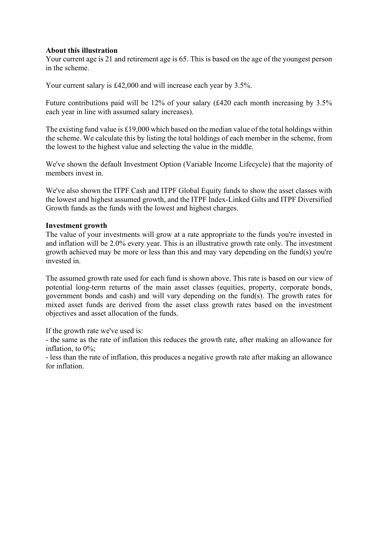## **About this illustration**

Your current age is 21 and retirement age is 65. This is based on the age of the youngest person in the scheme.

Your current salary is £42,000 and will increase each year by 3.5%.

Future contributions paid will be 12% of your salary (£420 each month increasing by 3.5% each year in line with assumed salary increases).

The existing fund value is £19,000 which based on the median value of the total holdings within the scheme. We calculate this by listing the total holdings of each member in the scheme, from the lowest to the highest value and selecting the value in the middle.

We've shown the default Investment Option (Variable Income Lifecycle) that the majority of members invest in.

We've also shown the ITPF Cash and ITPF Global Equity funds to show the asset classes with the lowest and highest assumed growth, and the ITPF Index-Linked Gilts and ITPF Diversified Growth funds as the funds with the lowest and highest charges.

### **Investment growth**

The value of your investments will grow at a rate appropriate to the funds you're invested in and inflation will be 2.0% every year. This is an illustrative growth rate only. The investment growth achieved may be more or less than this and may vary depending on the fund(s) you're invested in.

The assumed growth rate used for each fund is shown above. This rate is based on our view of potential long-term returns of the main asset classes (equities, property, corporate bonds, government bonds and cash) and will vary depending on the fund(s). The growth rates for mixed asset funds are derived from the asset class growth rates based on the investment objectives and asset allocation of the funds.

If the growth rate we've used is:

- the same as the rate of inflation this reduces the growth rate, after making an allowance for inflation, to 0%;

- less than the rate of inflation, this produces a negative growth rate after making an allowance for inflation.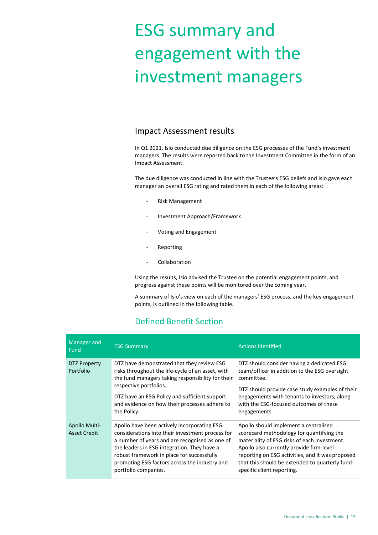# ESG summary and engagement with the investment managers

## Impact Assessment results

In Q1 2021, Isio conducted due diligence on the ESG processes of the Fund's investment managers. The results were reported back to the Investment Committee in the form of an Impact Assessment.

The due diligence was conducted in line with the Trustee's ESG beliefs and Isio gave each manager an overall ESG rating and rated them in each of the following areas:

- Risk Management
- Investment Approach/Framework
- Voting and Engagement
- **Reporting**
- **Collaboration**

Using the results, Isio advised the Trustee on the potential engagement points, and progress against these points will be monitored over the coming year.

A summary of Isio's view on each of the managers' ESG process, and the key engagement points, is outlined in the following table.

## Defined Benefit Section

| Manager and<br>Fund                  | <b>ESG Summary</b>                                                                                                                                                                                                                                                                                                      | <b>Actions identified</b>                                                                                                                                                                                                                                                                                           |
|--------------------------------------|-------------------------------------------------------------------------------------------------------------------------------------------------------------------------------------------------------------------------------------------------------------------------------------------------------------------------|---------------------------------------------------------------------------------------------------------------------------------------------------------------------------------------------------------------------------------------------------------------------------------------------------------------------|
| DTZ Property<br>Portfolio            | DTZ have demonstrated that they review ESG<br>risks throughout the life-cycle of an asset, with<br>the fund managers taking responsibility for their                                                                                                                                                                    | DTZ should consider having a dedicated ESG<br>team/officer in addition to the ESG oversight<br>committee.<br>DTZ should provide case study examples of their<br>engagements with tenants to investors, along<br>with the ESG-focused outcomes of these<br>engagements.                                              |
|                                      | respective portfolios.<br>DTZ have an ESG Policy and sufficient support<br>and evidence on how their processes adhere to<br>the Policy.                                                                                                                                                                                 |                                                                                                                                                                                                                                                                                                                     |
| Apollo Multi-<br><b>Asset Credit</b> | Apollo have been actively incorporating ESG<br>considerations into their investment process for<br>a number of years and are recognised as one of<br>the leaders in ESG integration. They have a<br>robust framework in place for successfully<br>promoting ESG factors across the industry and<br>portfolio companies. | Apollo should implement a centralised<br>scorecard methodology for quantifying the<br>materiality of ESG risks of each investment.<br>Apollo also currently provide firm-level<br>reporting on ESG activities, and it was proposed<br>that this should be extended to quarterly fund-<br>specific client reporting. |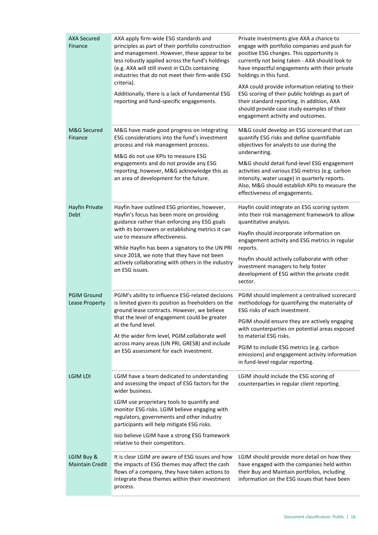| <b>AXA Secured</b><br>Finance        | AXA apply firm-wide ESG standards and<br>principles as part of their portfolio construction<br>and management. However, these appear to be<br>less robustly applied across the fund's holdings<br>(e.g. AXA will still invest in CLOs containing<br>industries that do not meet their firm-wide ESG<br>criteria).                                                                                          | Private investments give AXA a chance to<br>engage with portfolio companies and push for<br>positive ESG changes. This opportunity is<br>currently not being taken - AXA should look to<br>have impactful engagements with their private<br>holdings in this fund. |
|--------------------------------------|------------------------------------------------------------------------------------------------------------------------------------------------------------------------------------------------------------------------------------------------------------------------------------------------------------------------------------------------------------------------------------------------------------|--------------------------------------------------------------------------------------------------------------------------------------------------------------------------------------------------------------------------------------------------------------------|
|                                      | Additionally, there is a lack of fundamental ESG<br>reporting and fund-specific engagements.                                                                                                                                                                                                                                                                                                               | AXA could provide information relating to their<br>ESG scoring of their public holdings as part of<br>their standard reporting. In addition, AXA<br>should provide case study examples of their<br>engagement activity and outcomes.                               |
| M&G Secured<br>Finance               | M&G have made good progress on integrating<br>ESG considerations into the fund's investment<br>process and risk management process.<br>M&G do not use KPIs to measure ESG<br>engagements and do not provide any ESG<br>reporting, however, M&G acknowledge this as<br>an area of development for the future.                                                                                               | M&G could develop an ESG scorecard that can<br>quantify ESG risks and define quantifiable<br>objectives for analysts to use during the<br>underwriting.                                                                                                            |
|                                      |                                                                                                                                                                                                                                                                                                                                                                                                            | M&G should detail fund-level ESG engagement<br>activities and various ESG metrics (e.g. carbon<br>intensity, water usage) in quarterly reports.<br>Also, M&G should establish KPIs to measure the<br>effectiveness of engagements.                                 |
| Hayfin Private<br>Debt               | Hayfin have outlined ESG priorities, however,<br>Hayfin's focus has been more on providing<br>guidance rather than enforcing any ESG goals<br>with its borrowers or establishing metrics it can<br>use to measure effectiveness.<br>While Hayfin has been a signatory to the UN PRI<br>since 2018, we note that they have not been<br>actively collaborating with others in the industry<br>on ESG issues. | Hayfin could integrate an ESG scoring system<br>into their risk management framework to allow<br>quantitative analysis.                                                                                                                                            |
|                                      |                                                                                                                                                                                                                                                                                                                                                                                                            | Hayfin should incorporate information on<br>engagement activity and ESG metrics in regular<br>reports.                                                                                                                                                             |
|                                      |                                                                                                                                                                                                                                                                                                                                                                                                            | Hayfin should actively collaborate with other<br>investment managers to help foster<br>development of ESG within the private credit<br>sector.                                                                                                                     |
| <b>PGIM Ground</b><br>Lease Property | PGIM's ability to influence ESG-related decisions<br>is limited given its position as freeholders on the<br>ground lease contracts. However, we believe<br>that the level of engagement could be greater<br>at the fund level.<br>At the wider firm level, PGIM collaborate well<br>across many areas (UN PRI, GRESB) and include<br>an ESG assessment for each investment.                                | PGIM should implement a centralised scorecard<br>methodology for quantifying the materiality of<br>ESG risks of each investment.                                                                                                                                   |
|                                      |                                                                                                                                                                                                                                                                                                                                                                                                            | PGIM should ensure they are actively engaging<br>with counterparties on potential areas exposed<br>to material ESG risks.                                                                                                                                          |
|                                      |                                                                                                                                                                                                                                                                                                                                                                                                            | PGIM to include ESG metrics (e.g. carbon<br>emissions) and engagement activity information<br>in fund-level regular reporting.                                                                                                                                     |
| LGIM LDI                             | LGIM have a team dedicated to understanding<br>and assessing the impact of ESG factors for the<br>wider business.                                                                                                                                                                                                                                                                                          | LGIM should include the ESG scoring of<br>counterparties in regular client reporting.                                                                                                                                                                              |
|                                      | LGIM use proprietary tools to quantify and<br>monitor ESG risks. LGIM believe engaging with<br>regulators, governments and other industry<br>participants will help mitigate ESG risks.                                                                                                                                                                                                                    |                                                                                                                                                                                                                                                                    |
|                                      | Isio believe LGIM have a strong ESG framework<br>relative to their competitors.                                                                                                                                                                                                                                                                                                                            |                                                                                                                                                                                                                                                                    |
| LGIM Buy &<br><b>Maintain Credit</b> | It is clear LGIM are aware of ESG issues and how<br>the impacts of ESG themes may affect the cash<br>flows of a company, they have taken actions to<br>integrate these themes within their investment<br>process.                                                                                                                                                                                          | LGIM should provide more detail on how they<br>have engaged with the companies held within<br>their Buy and Maintain portfolios, including<br>information on the ESG issues that have been                                                                         |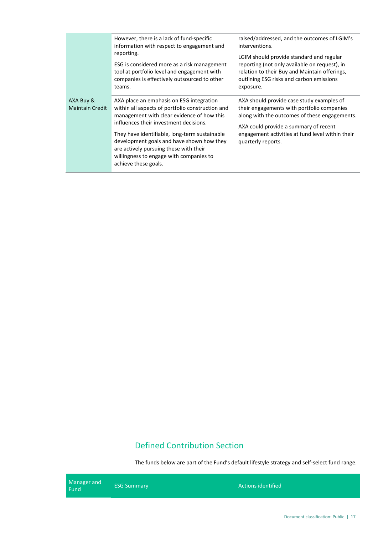|                                     | However, there is a lack of fund-specific<br>information with respect to engagement and                                                                                                                                                                                                                                                                                                         | raised/addressed, and the outcomes of LGIM's<br>interventions.                                                                                                                                                                                              |
|-------------------------------------|-------------------------------------------------------------------------------------------------------------------------------------------------------------------------------------------------------------------------------------------------------------------------------------------------------------------------------------------------------------------------------------------------|-------------------------------------------------------------------------------------------------------------------------------------------------------------------------------------------------------------------------------------------------------------|
|                                     | reporting.<br>ESG is considered more as a risk management<br>tool at portfolio level and engagement with<br>companies is effectively outsourced to other<br>teams.                                                                                                                                                                                                                              | LGIM should provide standard and regular<br>reporting (not only available on request), in<br>relation to their Buy and Maintain offerings,<br>outlining ESG risks and carbon emissions<br>exposure.                                                         |
| AXA Buy &<br><b>Maintain Credit</b> | AXA place an emphasis on ESG integration<br>within all aspects of portfolio construction and<br>management with clear evidence of how this<br>influences their investment decisions.<br>They have identifiable, long-term sustainable<br>development goals and have shown how they<br>are actively pursuing these with their<br>willingness to engage with companies to<br>achieve these goals. | AXA should provide case study examples of<br>their engagements with portfolio companies<br>along with the outcomes of these engagements.<br>AXA could provide a summary of recent<br>engagement activities at fund level within their<br>quarterly reports. |

## Defined Contribution Section

The funds below are part of the Fund's default lifestyle strategy and self-select fund range.

Manager and Fund ESG Summary Actions identified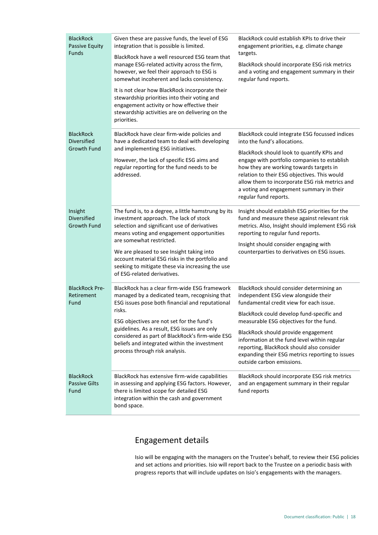| <b>BlackRock</b><br>Passive Equity<br>Funds           | Given these are passive funds, the level of ESG<br>integration that is possible is limited.<br>BlackRock have a well resourced ESG team that<br>manage ESG-related activity across the firm,<br>however, we feel their approach to ESG is<br>somewhat incoherent and lacks consistency.<br>It is not clear how BlackRock incorporate their<br>stewardship priorities into their voting and<br>engagement activity or how effective their<br>stewardship activities are on delivering on the<br>priorities. | BlackRock could establish KPIs to drive their<br>engagement priorities, e.g. climate change<br>targets.<br>BlackRock should incorporate ESG risk metrics<br>and a voting and engagement summary in their<br>regular fund reports.                                                                                                                                                                                                       |
|-------------------------------------------------------|------------------------------------------------------------------------------------------------------------------------------------------------------------------------------------------------------------------------------------------------------------------------------------------------------------------------------------------------------------------------------------------------------------------------------------------------------------------------------------------------------------|-----------------------------------------------------------------------------------------------------------------------------------------------------------------------------------------------------------------------------------------------------------------------------------------------------------------------------------------------------------------------------------------------------------------------------------------|
| <b>BlackRock</b><br>Diversified<br><b>Growth Fund</b> | BlackRock have clear firm-wide policies and<br>have a dedicated team to deal with developing<br>and implementing ESG initiatives.<br>However, the lack of specific ESG aims and<br>regular reporting for the fund needs to be<br>addressed.                                                                                                                                                                                                                                                                | BlackRock could integrate ESG focussed indices<br>into the fund's allocations.<br>BlackRock should look to quantify KPIs and<br>engage with portfolio companies to establish<br>how they are working towards targets in<br>relation to their ESG objectives. This would<br>allow them to incorporate ESG risk metrics and<br>a voting and engagement summary in their<br>regular fund reports.                                          |
| Insight<br>Diversified<br><b>Growth Fund</b>          | The fund is, to a degree, a little hamstrung by its<br>investment approach. The lack of stock<br>selection and significant use of derivatives<br>means voting and engagement opportunities<br>are somewhat restricted.<br>We are pleased to see Insight taking into<br>account material ESG risks in the portfolio and<br>seeking to mitigate these via increasing the use<br>of ESG-related derivatives.                                                                                                  | Insight should establish ESG priorities for the<br>fund and measure these against relevant risk<br>metrics. Also, Insight should implement ESG risk<br>reporting to regular fund reports.<br>Insight should consider engaging with<br>counterparties to derivatives on ESG issues.                                                                                                                                                      |
| <b>BlackRock Pre-</b><br>Retirement<br>Fund           | BlackRock has a clear firm-wide ESG framework<br>managed by a dedicated team, recognising that<br>ESG issues pose both financial and reputational<br>risks.<br>ESG objectives are not set for the fund's<br>guidelines. As a result, ESG issues are only<br>considered as part of BlackRock's firm-wide ESG<br>beliefs and integrated within the investment<br>process through risk analysis.                                                                                                              | BlackRock should consider determining an<br>independent ESG view alongside their<br>fundamental credit view for each issue.<br>BlackRock could develop fund-specific and<br>measurable ESG objectives for the fund.<br>BlackRock should provide engagement<br>information at the fund level within regular<br>reporting, BlackRock should also consider<br>expanding their ESG metrics reporting to issues<br>outside carbon emissions. |
| <b>BlackRock</b><br><b>Passive Gilts</b><br>Fund      | BlackRock has extensive firm-wide capabilities<br>in assessing and applying ESG factors. However,<br>there is limited scope for detailed ESG<br>integration within the cash and government<br>bond space.                                                                                                                                                                                                                                                                                                  | BlackRock should incorporate ESG risk metrics<br>and an engagement summary in their regular<br>fund reports                                                                                                                                                                                                                                                                                                                             |

## Engagement details

Isio will be engaging with the managers on the Trustee's behalf, to review their ESG policies and set actions and priorities. Isio will report back to the Trustee on a periodic basis with progress reports that will include updates on Isio's engagements with the managers.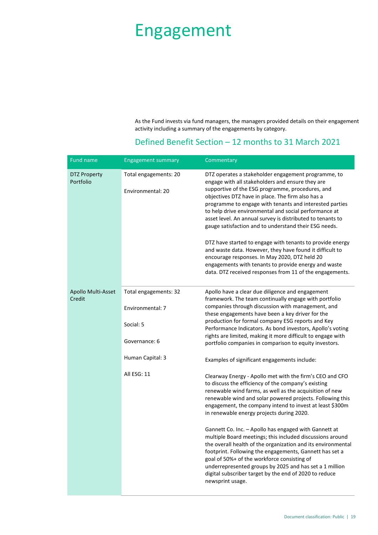## Engagement

As the Fund invests via fund managers, the managers provided details on their engagement activity including a summary of the engagements by category.

## Defined Benefit Section – 12 months to 31 March 2021

| Fund name                        | <b>Engagement summary</b>                  | Commentary                                                                                                                                                                                                                                                                                                                                                                                                                                                                                                                                                                                                                                                                                                                                                |
|----------------------------------|--------------------------------------------|-----------------------------------------------------------------------------------------------------------------------------------------------------------------------------------------------------------------------------------------------------------------------------------------------------------------------------------------------------------------------------------------------------------------------------------------------------------------------------------------------------------------------------------------------------------------------------------------------------------------------------------------------------------------------------------------------------------------------------------------------------------|
| <b>DTZ Property</b><br>Portfolio | Total engagements: 20<br>Environmental: 20 | DTZ operates a stakeholder engagement programme, to<br>engage with all stakeholders and ensure they are<br>supportive of the ESG programme, procedures, and<br>objectives DTZ have in place. The firm also has a<br>programme to engage with tenants and interested parties<br>to help drive environmental and social performance at<br>asset level. An annual survey is distributed to tenants to<br>gauge satisfaction and to understand their ESG needs.<br>DTZ have started to engage with tenants to provide energy<br>and waste data. However, they have found it difficult to<br>encourage responses. In May 2020, DTZ held 20<br>engagements with tenants to provide energy and waste<br>data. DTZ received responses from 11 of the engagements. |
| Apollo Multi-Asset<br>Credit     | Total engagements: 32                      | Apollo have a clear due diligence and engagement<br>framework. The team continually engage with portfolio                                                                                                                                                                                                                                                                                                                                                                                                                                                                                                                                                                                                                                                 |
|                                  | Environmental: 7                           | companies through discussion with management, and<br>these engagements have been a key driver for the                                                                                                                                                                                                                                                                                                                                                                                                                                                                                                                                                                                                                                                     |
|                                  | Social: 5                                  | production for formal company ESG reports and Key<br>Performance Indicators. As bond investors, Apollo's voting                                                                                                                                                                                                                                                                                                                                                                                                                                                                                                                                                                                                                                           |
|                                  | Governance: 6                              | rights are limited, making it more difficult to engage with<br>portfolio companies in comparison to equity investors.                                                                                                                                                                                                                                                                                                                                                                                                                                                                                                                                                                                                                                     |
|                                  | Human Capital: 3                           | Examples of significant engagements include:                                                                                                                                                                                                                                                                                                                                                                                                                                                                                                                                                                                                                                                                                                              |
|                                  | All ESG: 11                                | Clearway Energy - Apollo met with the firm's CEO and CFO<br>to discuss the efficiency of the company's existing<br>renewable wind farms, as well as the acquisition of new<br>renewable wind and solar powered projects. Following this<br>engagement, the company intend to invest at least \$300m<br>in renewable energy projects during 2020.                                                                                                                                                                                                                                                                                                                                                                                                          |
|                                  |                                            | Gannett Co. Inc. - Apollo has engaged with Gannett at<br>multiple Board meetings; this included discussions around<br>the overall health of the organization and its environmental<br>footprint. Following the engagements, Gannett has set a<br>goal of 50%+ of the workforce consisting of<br>underrepresented groups by 2025 and has set a 1 million<br>digital subscriber target by the end of 2020 to reduce<br>newsprint usage.                                                                                                                                                                                                                                                                                                                     |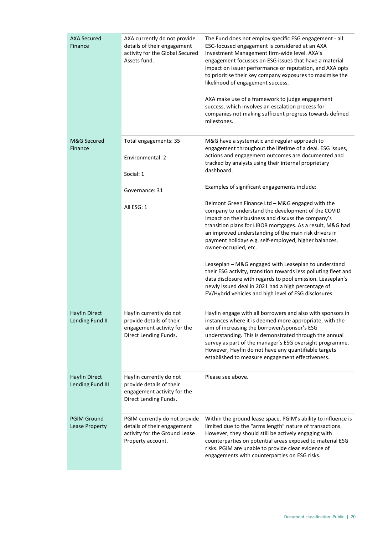| <b>AXA Secured</b><br>Finance            | AXA currently do not provide<br>details of their engagement<br>activity for the Global Secured<br>Assets fund.     | The Fund does not employ specific ESG engagement - all<br>ESG-focused engagement is considered at an AXA<br>Investment Management firm-wide level. AXA's<br>engagement focusses on ESG issues that have a material<br>impact on issuer performance or reputation, and AXA opts<br>to prioritise their key company exposures to maximise the<br>likelihood of engagement success.<br>AXA make use of a framework to judge engagement<br>success, which involves an escalation process for<br>companies not making sufficient progress towards defined<br>milestones. |
|------------------------------------------|--------------------------------------------------------------------------------------------------------------------|---------------------------------------------------------------------------------------------------------------------------------------------------------------------------------------------------------------------------------------------------------------------------------------------------------------------------------------------------------------------------------------------------------------------------------------------------------------------------------------------------------------------------------------------------------------------|
| M&G Secured<br>Finance                   | Total engagements: 35<br>Environmental: 2                                                                          | M&G have a systematic and regular approach to<br>engagement throughout the lifetime of a deal. ESG issues,<br>actions and engagement outcomes are documented and                                                                                                                                                                                                                                                                                                                                                                                                    |
|                                          | Social: 1                                                                                                          | tracked by analysts using their internal proprietary<br>dashboard.                                                                                                                                                                                                                                                                                                                                                                                                                                                                                                  |
|                                          | Governance: 31                                                                                                     | Examples of significant engagements include:                                                                                                                                                                                                                                                                                                                                                                                                                                                                                                                        |
|                                          | All ESG: 1                                                                                                         | Belmont Green Finance Ltd - M&G engaged with the<br>company to understand the development of the COVID<br>impact on their business and discuss the company's<br>transition plans for LIBOR mortgages. As a result, M&G had<br>an improved understanding of the main risk drivers in<br>payment holidays e.g. self-employed, higher balances,<br>owner-occupied, etc.                                                                                                                                                                                                |
|                                          |                                                                                                                    | Leaseplan - M&G engaged with Leaseplan to understand<br>their ESG activity, transition towards less polluting fleet and<br>data disclosure with regards to pool emission. Leaseplan's<br>newly issued deal in 2021 had a high percentage of<br>EV/Hybrid vehicles and high level of ESG disclosures.                                                                                                                                                                                                                                                                |
| <b>Hayfin Direct</b><br>Lending Fund II  | Hayfin currently do not<br>provide details of their<br>engagement activity for the<br>Direct Lending Funds.        | Hayfin engage with all borrowers and also with sponsors in<br>instances where it is deemed more appropriate, with the<br>aim of increasing the borrower/sponsor's ESG<br>understanding. This is demonstrated through the annual<br>survey as part of the manager's ESG oversight programme.<br>However, Hayfin do not have any quantifiable targets<br>established to measure engagement effectiveness.                                                                                                                                                             |
| <b>Hayfin Direct</b><br>Lending Fund III | Hayfin currently do not<br>provide details of their<br>engagement activity for the<br>Direct Lending Funds.        | Please see above.                                                                                                                                                                                                                                                                                                                                                                                                                                                                                                                                                   |
| <b>PGIM Ground</b><br>Lease Property     | PGIM currently do not provide<br>details of their engagement<br>activity for the Ground Lease<br>Property account. | Within the ground lease space, PGIM's ability to influence is<br>limited due to the "arms length" nature of transactions.<br>However, they should still be actively engaging with<br>counterparties on potential areas exposed to material ESG<br>risks. PGIM are unable to provide clear evidence of<br>engagements with counterparties on ESG risks.                                                                                                                                                                                                              |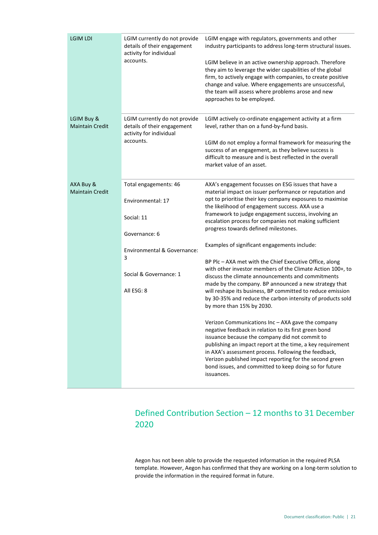| <b>LGIM LDI</b>                      | LGIM currently do not provide<br>details of their engagement<br>activity for individual<br>accounts.                                                  | LGIM engage with regulators, governments and other<br>industry participants to address long-term structural issues.<br>LGIM believe in an active ownership approach. Therefore<br>they aim to leverage the wider capabilities of the global<br>firm, to actively engage with companies, to create positive<br>change and value. Where engagements are unsuccessful,<br>the team will assess where problems arose and new<br>approaches to be employed.                                                                                                                                                                                                                                                                                                                                                                                                                                                                                                                                                                                                                                                                                                                                                                                                           |
|--------------------------------------|-------------------------------------------------------------------------------------------------------------------------------------------------------|------------------------------------------------------------------------------------------------------------------------------------------------------------------------------------------------------------------------------------------------------------------------------------------------------------------------------------------------------------------------------------------------------------------------------------------------------------------------------------------------------------------------------------------------------------------------------------------------------------------------------------------------------------------------------------------------------------------------------------------------------------------------------------------------------------------------------------------------------------------------------------------------------------------------------------------------------------------------------------------------------------------------------------------------------------------------------------------------------------------------------------------------------------------------------------------------------------------------------------------------------------------|
| LGIM Buy &<br><b>Maintain Credit</b> | LGIM currently do not provide<br>details of their engagement<br>activity for individual<br>accounts.                                                  | LGIM actively co-ordinate engagement activity at a firm<br>level, rather than on a fund-by-fund basis.<br>LGIM do not employ a formal framework for measuring the<br>success of an engagement, as they believe success is<br>difficult to measure and is best reflected in the overall<br>market value of an asset.                                                                                                                                                                                                                                                                                                                                                                                                                                                                                                                                                                                                                                                                                                                                                                                                                                                                                                                                              |
| AXA Buy &<br><b>Maintain Credit</b>  | Total engagements: 46<br>Environmental: 17<br>Social: 11<br>Governance: 6<br>Environmental & Governance:<br>3<br>Social & Governance: 1<br>All ESG: 8 | AXA's engagement focusses on ESG issues that have a<br>material impact on issuer performance or reputation and<br>opt to prioritise their key company exposures to maximise<br>the likelihood of engagement success. AXA use a<br>framework to judge engagement success, involving an<br>escalation process for companies not making sufficient<br>progress towards defined milestones.<br>Examples of significant engagements include:<br>BP Plc - AXA met with the Chief Executive Office, along<br>with other investor members of the Climate Action 100+, to<br>discuss the climate announcements and commitments<br>made by the company. BP announced a new strategy that<br>will reshape its business, BP committed to reduce emission<br>by 30-35% and reduce the carbon intensity of products sold<br>by more than 15% by 2030.<br>Verizon Communications Inc - AXA gave the company<br>negative feedback in relation to its first green bond<br>issuance because the company did not commit to<br>publishing an impact report at the time, a key requirement<br>in AXA's assessment process. Following the feedback,<br>Verizon published impact reporting for the second green<br>bond issues, and committed to keep doing so for future<br>issuances. |

## Defined Contribution Section – 12 months to 31 December 2020

Aegon has not been able to provide the requested information in the required PLSA template. However, Aegon has confirmed that they are working on a long-term solution to provide the information in the required format in future.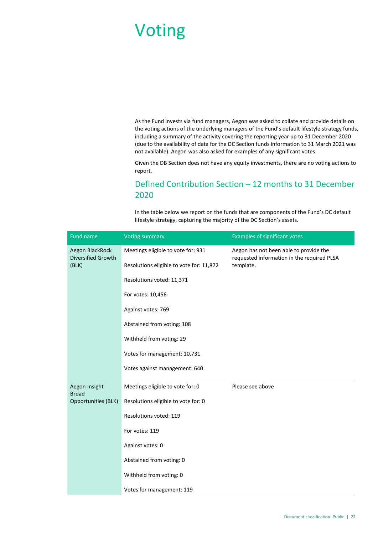# Voting

As the Fund invests via fund managers, Aegon was asked to collate and provide details on the voting actions of the underlying managers of the Fund's default lifestyle strategy funds, including a summary of the activity covering the reporting year up to 31 December 2020 (due to the availability of data for the DC Section funds information to 31 March 2021 was not available). Aegon was also asked for examples of any significant votes.

Given the DB Section does not have any equity investments, there are no voting actions to report.

## Defined Contribution Section – 12 months to 31 December 2020

In the table below we report on the funds that are components of the Fund's DC default lifestyle strategy, capturing the majority of the DC Section's assets.

| Fund name                                      | <b>Voting summary</b>                    | <b>Examples of significant votes</b>                                                              |
|------------------------------------------------|------------------------------------------|---------------------------------------------------------------------------------------------------|
| Aegon BlackRock<br>Diversified Growth<br>(BLK) | Meetings eligible to vote for: 931       | Aegon has not been able to provide the<br>requested information in the required PLSA<br>template. |
|                                                | Resolutions eligible to vote for: 11,872 |                                                                                                   |
|                                                | Resolutions voted: 11,371                |                                                                                                   |
|                                                | For votes: 10,456                        |                                                                                                   |
|                                                | Against votes: 769                       |                                                                                                   |
|                                                | Abstained from voting: 108               |                                                                                                   |
|                                                | Withheld from voting: 29                 |                                                                                                   |
|                                                | Votes for management: 10,731             |                                                                                                   |
|                                                | Votes against management: 640            |                                                                                                   |
| Aegon Insight                                  | Meetings eligible to vote for: 0         | Please see above                                                                                  |
| <b>Broad</b><br>Opportunities (BLK)            | Resolutions eligible to vote for: 0      |                                                                                                   |
|                                                | Resolutions voted: 119                   |                                                                                                   |
|                                                | For votes: 119                           |                                                                                                   |
|                                                | Against votes: 0                         |                                                                                                   |
|                                                | Abstained from voting: 0                 |                                                                                                   |
|                                                | Withheld from voting: 0                  |                                                                                                   |
|                                                | Votes for management: 119                |                                                                                                   |